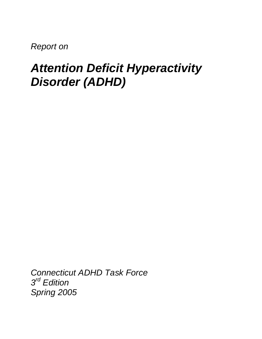*Report on* 

# *Attention Deficit Hyperactivity Disorder (ADHD)*

*Connecticut ADHD Task Force 3rd Edition Spring 2005*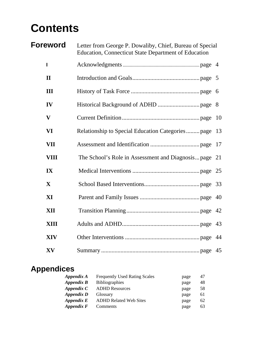# **Contents**

| <b>Foreword</b>         | Letter from George P. Dowaliby, Chief, Bureau of Special<br><b>Education, Connecticut State Department of Education</b> |    |
|-------------------------|-------------------------------------------------------------------------------------------------------------------------|----|
| $\mathbf{I}$            |                                                                                                                         |    |
| $\mathbf{I}$            |                                                                                                                         |    |
| III                     |                                                                                                                         |    |
| IV                      |                                                                                                                         |    |
| $\overline{\mathbf{V}}$ |                                                                                                                         |    |
| <b>VI</b>               |                                                                                                                         | 13 |
| <b>VII</b>              |                                                                                                                         | 17 |
| <b>VIII</b>             | The School's Role in Assessment and Diagnosis page 21                                                                   |    |
| IX                      |                                                                                                                         |    |
| X                       |                                                                                                                         |    |
| XI                      |                                                                                                                         |    |
| <b>XII</b>              |                                                                                                                         |    |
| <b>XIII</b>             |                                                                                                                         |    |
| <b>XIV</b>              |                                                                                                                         |    |
| XV                      |                                                                                                                         |    |

## **Appendices**

| Appendix A | <b>Frequently Used Rating Scales</b> | page | 47 |
|------------|--------------------------------------|------|----|
| Appendix B | <b>Bibliographies</b>                | page | 48 |
| Appendix C | <b>ADHD Resources</b>                | page | 58 |
| Appendix D | <b>Glossary</b>                      | page | 61 |
| Appendix E | <b>ADHD Related Web Sites</b>        | page | 62 |
| Appendix F | Comments                             | page | 63 |
|            |                                      |      |    |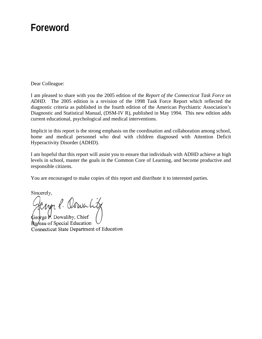## **Foreword**

Dear Colleague:

I am pleased to share with you the 2005 edition of the *Report of the Connecticut Task Force on ADHD.* The 2005 edition is a revision of the 1998 Task Force Report which reflected the diagnostic criteria as published in the fourth edition of the American Psychiatric Association's Diagnostic and Statistical Manual, (DSM-IV R), published in May 1994. This new edition adds current educational, psychological and medical interventions.

Implicit in this report is the strong emphasis on the coordination and collaboration among school, home and medical personnel who deal with children diagnosed with Attention Deficit Hyperactivity Disorder (ADHD).

I am hopeful that this report will assist you to ensure that individuals with ADHD achieve at high levels in school, master the goals in the Common Core of Learning, and become productive and responsible citizens.

You are encouraged to make copies of this report and distribute it to interested parties.

Sincerely,

ncerely,<br>Jemen f. Octwart of

 $\oint$ eorge P. Dowaliby, Chief **Rureau** of Special Education Connecticut State Department of Education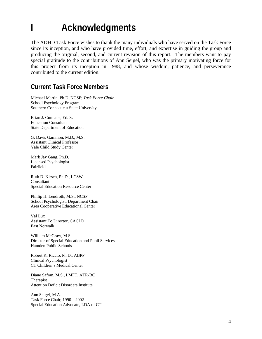# **I Acknowledgments**

The ADHD Task Force wishes to thank the many individuals who have served on the Task Force since its inception, and who have provided time, effort, and expertise in guiding the group and producing the original, second, and current revision of this report. The members want to pay special gratitude to the contributions of Ann Seigel, who was the primary motivating force for this project from its inception in 1988, and whose wisdom, patience, and perseverance contributed to the current edition.

## **Current Task Force Members**

Michael Martin, Ph.D.,NCSP; *Task Force Chair*  School Psychology Program Southern Connecticut State University

Brian J. Cunnane, Ed. S. Education Consultant State Department of Education

G. Davis Gammon, M.D., M.S. Assistant Clinical Professor Yale Child Study Center

Mark Jay Gang, Ph.D. Licensed Psychologist Fairfield

Ruth D. Kirsch, Ph.D., LCSW Consultant Special Education Resource Center

Phillip H. Lendroth, M.S., NCSP School Psychologist; Department Chair Area Cooperative Educational Center

Val Lux Assistant To Director, CACLD East Norwalk

William McGraw, M.S. Director of Special Education and Pupil Services Hamden Public Schools

Robert K. Riccio, Ph.D., ABPP Clinical Psychologist CT Children's Medical Center

Diane Safran, M.S., LMFT, ATR-BC Therapist Attention Deficit Disorders Institute

Ann Seigel, M.A. Task Force Chair, 1990 – 2002 Special Education Advocate, LDA of CT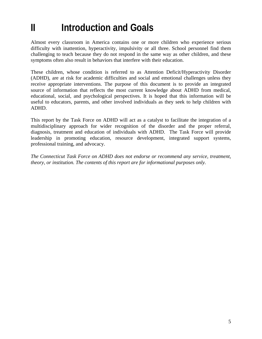# **II** Introduction and Goals

Almost every classroom in America contains one or more children who experience serious difficulty with inattention, hyperactivity, impulsivity or all three. School personnel find them challenging to teach because they do not respond in the same way as other children, and these symptoms often also result in behaviors that interfere with their education.

These children, whose condition is referred to as Attention Deficit/Hyperactivity Disorder (ADHD), are at risk for academic difficulties and social and emotional challenges unless they receive appropriate interventions. The purpose of this document is to provide an integrated source of information that reflects the most current knowledge about ADHD from medical, educational, social, and psychological perspectives. It is hoped that this information will be useful to educators, parents, and other involved individuals as they seek to help children with ADHD.

This report by the Task Force on ADHD will act as a catalyst to facilitate the integration of a multidisciplinary approach for wider recognition of the disorder and the proper referral, diagnosis, treatment and education of individuals with ADHD. The Task Force will provide leadership in promoting education, resource development, integrated support systems, professional training, and advocacy.

*The Connecticut Task Force on ADHD does not endorse or recommend any service, treatment, theory, or institution. The contents of this report are for informational purposes only.*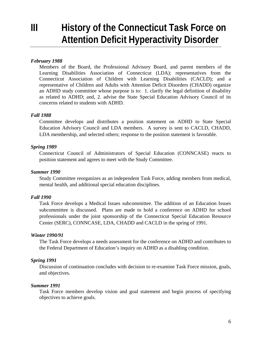## **III** History of the Connecticut Task Force on **Attention Deficit Hyperactivity Disorder**

#### *February 1988*

Members of the Board, the Professional Advisory Board, and parent members of the Learning Disabilities Association of Connecticut (LDA); representatives from the Connecticut Association of Children with Learning Disabilities (CACLD); and a representative of Children and Adults with Attention Deficit Disorders (CHADD) organize an ADHD study committee whose purpose is to: 1. clarify the legal definition of disability as related to ADHD; and, 2. advise the State Special Education Advisory Council of its concerns related to students with ADHD.

#### *Fall 1988*

Committee develops and distributes a position statement on ADHD to State Special Education Advisory Council and LDA members. A survey is sent to CACLD, CHADD, LDA membership, and selected others; response to the position statement is favorable.

#### *Spring 1989*

Connecticut Council of Administrators of Special Education (CONNCASE) reacts to position statement and agrees to meet with the Study Committee.

#### *Summer 1990*

Study Committee reorganizes as an independent Task Force, adding members from medical, mental health, and additional special education disciplines.

#### *Fall 1990*

Task Force develops a Medical Issues subcommittee. The addition of an Education Issues subcommittee is discussed. Plans are made to hold a conference on ADHD for school professionals under the joint sponsorship of the Connecticut Special Education Resource Center (SERC), CONNCASE, LDA, CHADD and CACLD in the spring of 1991.

#### *Winter 1990/91*

The Task Force develops a needs assessment for the conference on ADHD and contributes to the Federal Department of Education's inquiry on ADHD as a disabling condition.

#### *Spring 1991*

Discussion of continuation concludes with decision to re-examine Task Force mission, goals, and objectives.

#### *Summer 1991*

Task Force members develop vision and goal statement and begin process of specifying objectives to achieve goals.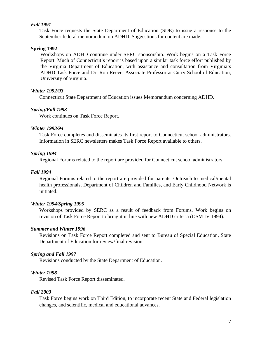#### *Fall 1991*

Task Force requests the State Department of Education (SDE) to issue a response to the September federal memorandum on ADHD. Suggestions for content are made.

#### **Spring 1992**

Workshops on ADHD continue under SERC sponsorship. Work begins on a Task Force Report. Much of Connecticut's report is based upon a similar task force effort published by the Virginia Department of Education, with assistance and consultation from Virginia's ADHD Task Force and Dr. Ron Reeve, Associate Professor at Curry School of Education, University of Virginia.

#### *Winter 1992/93*

Connecticut State Department of Education issues Memorandum concerning ADHD.

#### *Spring/Fall 1993*

Work continues on Task Force Report.

#### *Winter 1993/94*

Task Force completes and disseminates its first report to Connecticut school administrators. Information in SERC newsletters makes Task Force Report available to others.

#### *Spring 1994*

Regional Forums related to the report are provided for Connecticut school administrators.

#### *Fall 1994*

Regional Forums related to the report are provided for parents. Outreach to medical/mental health professionals, Department of Children and Families, and Early Childhood Network is initiated.

#### *Winter 1994/Spring 1995*

Workshops provided by SERC as a result of feedback from Forums. Work begins on revision of Task Force Report to bring it in line with new ADHD criteria (DSM IV 1994).

#### *Summer and Winter 1996*

Revisions on Task Force Report completed and sent to Bureau of Special Education, State Department of Education for review/final revision.

#### *Spring and Fall 1997*

Revisions conducted by the State Department of Education.

#### *Winter 1998*

Revised Task Force Report disseminated.

#### *Fall 2003*

Task Force begins work on Third Edition, to incorporate recent State and Federal legislation changes, and scientific, medical and educational advances.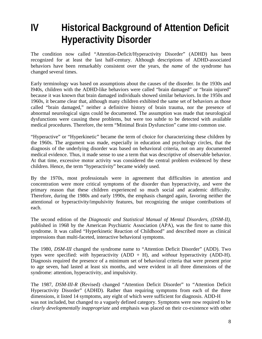**IV Historical Background of Attention Deficit Hyperactivity Disorder**

The condition now called "Attention-Deficit/Hyperactivity Disorder" (ADHD) has been recognized for at least the last half-century. Although descriptions of ADHD-associated behaviors have been remarkably consistent over the years, the *name* of the syndrome has changed several times.

Early terminology was based on assumptions about the causes of the disorder. In the 1930s and l940s, children with the ADHD-like behaviors were called "brain damaged" or "brain injured" because it was known that brain damaged individuals showed similar behaviors. In the 1950s and 1960s, it became clear that, although many children exhibited the same set of behaviors as those called "brain damaged," neither a definitive history of brain trauma, nor the presence of abnormal neurological signs could be documented. The assumption was made that neurological dysfunctions were causing these problems, but were too subtle to be detected with available medical procedures. Therefore, the term "Minimal Brain Dysfunction" came into common use.

"Hyperactive" or "Hyperkinetic" became the term of choice for characterizing these children by the 1960s. The argument was made, especially in education and psychology circles, that the diagnosis of the underlying disorder was based on behavioral criteria, not on any documented medical evidence. Thus, it made sense to use a term that was descriptive of observable behavior. At that time, excessive motor activity was considered the central problem evidenced by these children. Hence, the term "hyperactivity" became widely used.

By the 1970s, most professionals were in agreement that difficulties in attention and concentration were more critical symptoms of the disorder than hyperactivity, and were the primary reason that these children experienced so much social and academic difficulty. Therefore, during the 1980s and early 1990s, the emphasis changed again, favoring neither the attentional or hyperactivity/impulsivity features, but recognizing the unique contributions of each.

The second edition of the *Diagnostic and Statistical Manual of Mental Disorders, (DSM-II)*, published in 1968 by the American Psychiatric Association (APA), was the first to name this syndrome. It was called "Hyperkinetic Reaction of Childhood" and described more as clinical impressions than multi-faceted, interactive behavioral symptoms.

The 1980, *DSM-III* changed the syndrome name to "Attention Deficit Disorder" (ADD). Two types were specified: *with* hyperactivity (ADD + H), and *without* hyperactivity (ADD-H). Diagnosis required the presence of a minimum set of behavioral criteria that were present prior to age seven, had lasted at least six months, and were evident in all three dimensions of the syndrome: attention, hyperactivity, and impulsivity.

The 1987, *DSM-III-R* (Revised) changed "Attention Deficit Disorder" to "Attention Deficit Hyperactivity Disorder" (ADHD). Rather than requiring symptoms from each of the three dimensions, it listed 14 symptoms, any eight of which were sufficient for diagnosis. ADD-H was not included, but changed to a vaguely defined category. Symptoms were now required to be *clearly developmentally inappropriate* and emphasis was placed on their co-existence with other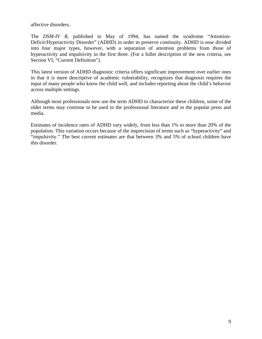affective disorders.

The *DSM-IV R,* published in May of 1994, has named the syndrome "Attention-Deficit/Hyperactivity Disorder" (ADHD) in order to preserve continuity. ADHD is now divided into four major types, however, with a separation of attention problems from those of hyperactivity and impulsivity in the first three. (For a fuller description of the new criteria, see Section VI, "Current Definition").

This latest version of ADHD diagnostic criteria offers significant improvement over earlier ones in that it is more descriptive of academic vulnerability, recognizes that diagnosis requires the input of many people who know the child well, and includes reporting about the child's behavior across multiple settings.

Although most professionals now use the term ADHD to characterize these children, some of the older terms may continue to be used in the professional literature and in the popular press and media.

Estimates of incidence rates of ADHD vary widely, from less than 1% to more than 20% of the population. This variation occurs because of the imprecision of terms such as "hyperactivity" and "impulsivity." The best current estimates are that between 3% and 5% of school children have this disorder.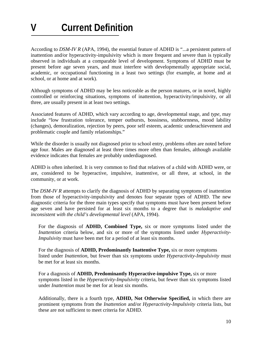According to *DSM-IV R* (APA, 1994)*,* the essential feature of ADHD is "...a persistent pattern of inattention and/or hyperactivity-impulsivity which is more frequent and severe than is typically observed in individuals at a comparable level of development. Symptoms of ADHD must be present before age seven years, and must interfere with developmentally appropriate social, academic, or occupational functioning in a least two settings (for example, at home and at school, or at home and at work).

Although symptoms of ADHD may be less noticeable as the person matures, or in novel, highly controlled or reinforcing situations, symptoms of inattention, hyperactivity/impulsivity, or all three, are usually present in at least two settings.

Associated features of ADHD, which vary according to age, developmental stage, and *type,* may include "low frustration tolerance, temper outbursts, bossiness, stubbornness, mood lability (changes), demoralization, rejection by peers, poor self esteem, academic underachievement and problematic couple and family relationships."

While the disorder is usually not diagnosed prior to school entry, problems often are noted before age four. Males are diagnosed at least three times more often than females, although available evidence indicates that females are probably underdiagnosed.

ADHD is often inherited. It is very common to find that relatives of a child with ADHD were, or are, considered to be hyperactive, impulsive, inattentive, or all three, at school, in the community, or at work.

The *DSM-IV R* attempts to clarify the diagnosis of ADHD by separating symptoms of inattention from those of hyperactivity-impulsivity and denotes four separate types of ADHD. The new diagnostic criteria for the three main types specify that symptoms must have been present before age seven and have persisted for at least six months to a degree that is *maladaptive and inconsistent with the child's developmental level* (APA, 1994).

For the diagnosis of **ADHD, Combined Type,** six or more symptoms listed under the *Inattention* criteria below, and six or more of the symptoms listed under *Hyperactivity-Impulsivity* must have been met for a period of at least six months.

For the diagnosis of **ADHD, Predominantly Inattentive Type,** six or more symptoms listed under *Inattention,* but fewer than six symptoms under *Hyperactivity-Impulsivity* must be met for at least six months.

For a diagnosis of **ADHD, Predominantly Hyperactive-impulsive Type,** six or more symptoms listed in the *Hyperactivity-Impulsivity* criteria, but fewer than six symptoms listed under *Inattention* must be met for at least six months.

Additionally, there is a fourth type, **ADHD, Not Otherwise Specified,** in which there are prominent symptoms from the *Inattention* and/or *Hyperactivity-Impulsivity* criteria lists, but these are not sufficient to meet criteria for ADHD.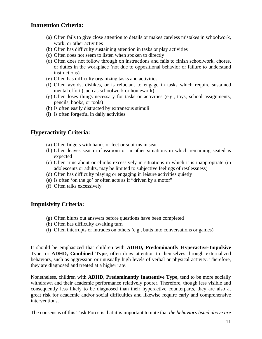#### **Inattention Criteria:**

- (a) Often fails to give close attention to details or makes careless mistakes in schoolwork, work, or other activities
- (b) Often has difficulty sustaining attention in tasks or play activities
- (c) Often does not seem to listen when spoken to directly
- (d) Often does not follow through on instructions and fails to finish schoolwork, chores, or duties in the workplace (not due to oppositional behavior or failure to understand instructions)
- (e) Often has difficulty organizing tasks and activities
- (f) Often avoids, dislikes, or is reluctant to engage in tasks which require sustained mental effort (such as schoolwork or homework)
- (g) Often loses things necessary for tasks or activities (e.g., toys, school assignments, pencils, books, or tools)
- (h) Is often easily distracted by extraneous stimuli
- (i) Is often forgetful in daily activities

#### **Hyperactivity Criteria:**

- (a) Often fidgets with hands or feet or squirms in seat
- (b) Often leaves seat in classroom or in other situations in which remaining seated is expected
- (c) Often runs about or climbs excessively in situations in which it is inappropriate (in adolescents or adults, may be limited to subjective feelings of restlessness)
- (d) Often has difficulty playing or engaging in leisure activities quietly
- (e) Is often 'on the go' or often acts as if "driven by a motor"
- (f) Often talks excessively

#### **Impulsivity Criteria:**

- (g) Often blurts out answers before questions have been completed
- (h) Often has difficulty awaiting turn
- (i) Often interrupts or intrudes on others (e.g., butts into conversations or games)

It should be emphasized that children with **ADHD, Predominantly Hyperactive-Impulsive**  Type, or **ADHD, Combined Type**, often draw attention to themselves through externalized behaviors, such as aggression or unusually high levels of verbal or physical activity. Therefore, they are diagnosed and treated at a higher rate.

Nonetheless, children with **ADHD, Predominantly Inattentive Type,** tend to be more socially withdrawn and their academic performance relatively poorer. Therefore, though less visible and consequently less likely to be diagnosed than their hyperactive counterparts, they are also at great risk for academic and/or social difficulties and likewise require early and comprehensive interventions.

The consensus of this Task Force is that it is important to note that *the behaviors listed above are*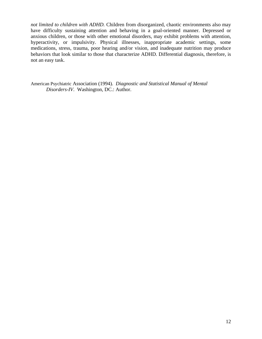*not limited to children with ADHD.* Children from disorganized, chaotic environments also may have difficulty sustaining attention and behaving in a goal-oriented manner. Depressed or anxious children, or those with other emotional disorders, may exhibit problems with attention, hyperactivity, or impulsivity. Physical illnesses, inappropriate academic settings, some medications, stress, trauma, poor hearing and/or vision, and inadequate nutrition may produce behaviors that look similar to those that characterize ADHD. Differential diagnosis, therefore, is not an easy task.

American Psychiatric Association (1994). *Diagnostic and Statistical Manual of Mental Disorders-IV*. Washington, DC.: Author.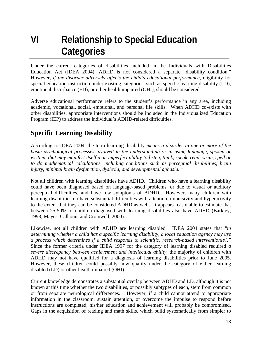## **VI Relationship to Special Education Categories**

Under the current categories of disabilities included in the Individuals with Disabilities Education Act (IDEA 2004), ADHD is not considered a separate "disability condition." However, *if the disorder adversely affects the child's educational performance*, eligibility for special education instruction under existing categories, such as specific learning disability (LD), emotional disturbance (ED), or other health impaired (OHI), should be considered.

Adverse educational performance refers to the student's performance in any area, including academic, vocational, social, emotional, and personal life skills. When ADHD co-exists with other disabilities, appropriate interventions should be included in the Individualized Education Program (IEP) to address the individual's ADHD-related difficulties.

## **Specific Learning Disability**

According to IDEA 2004, the term learning disability *means a disorder in one or more of the basic psychological processes involved in the understanding or in using language, spoken or written, that may manifest itself n an imperfect ability to listen, think, speak, read, write, spell or to do mathematical calculations, including conditions such as perceptual disabilities, brain injury, minimal brain dysfunction, dyslexia, and developmental aphasia.."* 

Not all children with learning disabilities have ADHD. Children who have a learning disability could have been diagnosed based on language-based problems, or due to visual or auditory perceptual difficulties, and have few symptoms of ADHD. However, many children with learning disabilities do have substantial difficulties with attention, impulsivity and hyperactivity to the extent that they can be considered ADHD as well. It appears reasonable to estimate that between 25-50% of children diagnosed with learning disabilities also have ADHD (Barkley, 1998; Mayes, Calhoun, and Cromwell, 2000).

Likewise, not all children with ADHD are learning disabled. IDEA 2004 states that "*in determining whether a child has a specific learning disability, a local education agency may use a process which determines if a child responds to scientific, research-based intervention[s]."*  Since the former criteria under IDEA 1997 for the category of learning disabled required *a severe discrepancy between achievement and intellectual ability*, the majority of children with ADHD may not have qualified for a diagnosis of learning disabilities prior to June 2005. However, these children could possibly now qualify under the category of either learning disabled (LD) or other health impaired (OHI).

Current knowledge demonstrates a substantial overlap between ADHD and LD, although it is not known at this time whether the two disabilities, or possibly subtypes of each, stem from common or from separate neurological differences. However, if a child cannot attend to appropriate information in the classroom, sustain attention, or overcome the impulse to respond before instructions are completed, his/her education and achievement will probably be compromised. Gaps in the acquisition of reading and math skills, which build systematically from simpler to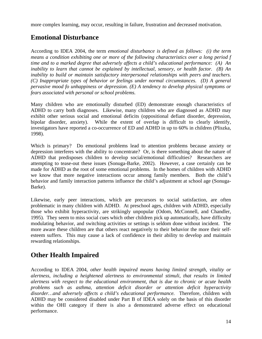more complex learning, may occur, resulting in failure, frustration and decreased motivation.

## **Emotional Disturbance**

According to IDEA 2004, the term *emotional disturbance is defined as follows: (i) the term means a condition exhibiting one or more of the following characteristics over a long period f time and to a marked degree that adversely affects a child's educational performance: (A) An inability to learn that cannot be explained by intellectual, sensory, or health factor. (B) An inability to build or maintain satisfactory interpersonal relationships with peers and teachers. (C) Inappropriate types of behavior or feelings under normal circumstances. (D) A general pervasive mood fo unhappiness or depression. (E) A tendency to develop physical symptoms or fears associated with personal or school problems.* 

Many children who are emotionally disturbed (ED) demonstrate enough characteristics of ADHD to carry both diagnoses. Likewise, many children who are diagnosed as ADHD may exhibit other serious social and emotional deficits (oppositional defiant disorder, depression, bipolar disorder, anxiety). While the extent of overlap is difficult to clearly identify, investigators have reported a co-occurrence of ED and ADHD in up to 60% in children (Pliszka, 1998).

Which is primary? Do emotional problems lead to attention problems because anxiety or depression interferes with the ability to concentrate? Or, is there something about the nature of ADHD that predisposes children to develop social/emotional difficulties? Researchers are attempting to tease-out these issues (Sonuga-Barke, 2002). However, a case certainly can be made for ADHD as the root of some emotional problems. In the homes of children with ADHD we know that more negative interactions occur among family members. Both the child's behavior and family interaction patterns influence the child's adjustment at school age (Sonuga-Barke).

Likewise, early peer interactions, which are precursors to social satisfaction, are often problematic in many children with ADHD. At preschool ages, children with ADHD, especially those who exhibit hyperactivity, are strikingly unpopular (Odom, McConnell, and Chandler, 1995). They seem to miss social cues which other children pick up automatically, have difficulty modulating behavior, and switching activities or settings is seldom done without incident. The more aware these children are that others react negatively to their behavior the more their selfesteem suffers. This may cause a lack of confidence in their ability to develop and maintain rewarding relationships.

## **Other Health Impaired**

According to IDEA 2004, *other health impaired means having limited strength, vitality or alertness, including a heightened alertness to environmental stimuli, that results in limited alertness with respect to the educational environment, that is due to chronic or acute health problems such as asthma, attention deficit disorder or attention deficit hyperactivity disorder…and adversely affects a child's educational performance.* Therefore, children with ADHD may be considered disabled under Part B of IDEA solely on the basis of this disorder within the OHI category if there is also a demonstrated adverse effect on educational performance.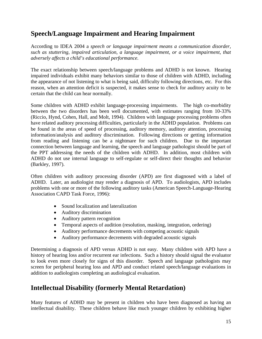## **Speech/Language Impairment and Hearing Impairment**

According to IDEA 2004 a *speech or language impairment means a communication disorder, such as stuttering, impaired articulation, a language impairment, or a voice impairment, that adversely affects a child's educational performance.* 

The exact relationship between speech/language problems and ADHD is not known. Hearing impaired individuals exhibit many behaviors similar to those of children with ADHD, including the appearance of not listening to what is being said, difficulty following directions, etc. For this reason, when an attention deficit is suspected, it makes sense to check for auditory acuity to be certain that the child can hear normally.

Some children with ADHD exhibit language-processing impairments. The high co-morbidity between the two disorders has been well documented, with estimates ranging from 10-33% (Riccio, Hynd, Cohen, Hall, and Molt, 1994). Children with language processing problems often have related auditory processing difficulties, particularly in the ADHD population. Problems can be found in the areas of speed of processing, auditory memory, auditory attention, processing information/analysis and auditory discrimination. Following directions or getting information from reading and listening can be a nightmare for such children. Due to the important connection between language and learning, the speech and language pathologist should be part of the PPT addressing the needs of the children with ADHD. In addition, most children with ADHD do not use internal language to self-regulate or self-direct their thoughts and behavior (Barkley, 1997).

Often children with auditory processing disorder (APD) are first diagnosed with a label of ADHD. Later, an audiologist may render a diagnosis of APD. To audiologists, APD includes problems with one or more of the following auditory tasks (American Speech-Language-Hearing Association CAPD Task Force, 1996):

- Sound localization and lateralization
- Auditory discrimination
- Auditory pattern recognition
- Temporal aspects of audition (resolution, masking, integration, ordering)
- Auditory performance decrements with competing acoustic signals
- Auditory performance decrements with degraded acoustic signals

Determining a diagnosis of APD versus ADHD is not easy. Many children with APD have a history of hearing loss and/or recurrent ear infections. Such a history should signal the evaluator to look even more closely for signs of this disorder. Speech and language pathologists may screen for peripheral hearing loss and APD and conduct related speech/language evaluations in addition to audiologists completing an audiological evaluation.

## **Intellectual Disability (formerly Mental Retardation)**

Many features of ADHD may be present in children who have been diagnosed as having an intellectual disability. These children behave like much younger children by exhibiting higher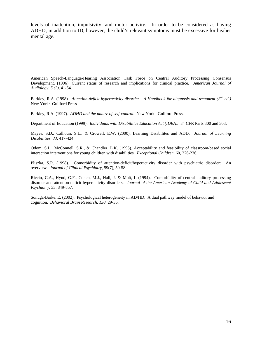levels of inattention, impulsivity, and motor activity. In order to be considered as having ADHD, in addition to ID*,* however, the child's relevant symptoms must be excessive for his/her mental age.

American Speech-Language-Hearing Association Task Force on Central Auditory Processing Consensus Development. (1996). Current status of research and implications for clinical practice. *American Journal of Audiology, 5 (2),* 41-54.

Barkley, R.A. (1998). *Attention-deficit hyperactivity disorder: A Handbook for diagnosis and treatment (2nd ed.)*  New York: Guilford Press.

Barkley, R.A. (1997). *ADHD and the nature of self-control.* New York: Guilford Press.

Department of Education (1999). *Individuals with Disabilities Education Act (IDEA).* 34 CFR Parts 300 and 303.

Mayes, S.D., Calhoun, S.L., & Crowell, E.W. (2000). Learning Disabilites and ADD. *Journal of Learning Disabilities, 33*, 417-424.

Odom, S.L., McConnell, S.R., & Chandler, L.K. (1995). Acceptability and feasibility of classroom-based social interaction interventions for young children with disabilities. *Exceptional Children*, 60*,* 226-236*.* 

Pliszka, S.R. (1998). Comorbidity of attention-deficit/hyperactivity disorder with psychiatric disorder: An overview. *Journal of Clinical Psychiatry,* 59(7), 50-58.

Riccio, C.A., Hynd, G.F., Cohen, M.J., Hall, J. & Molt, L (1994). Comorbidity of central auditory processing disorder and attention-deficit hyperactivity disorders. *Journal of the American Academy of Child and Adolescent Psychiatry,* 33, 849-857*.* 

Sonuga-Barke, E. (2002). Psychological heterogeneity in AD/HD: A dual pathway model of behavior and cognition. *Behavioral Brain Research, 130,* 29-36.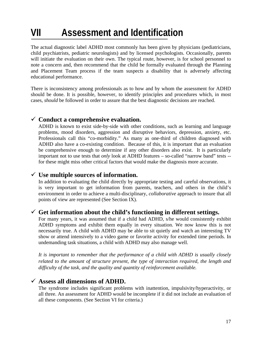# **VII Assessment and Identification**

The actual diagnostic label ADHD most commonly has been given by physicians (pediatricians, child psychiatrists, pediatric neurologists) and by licensed psychologists. Occasionally, parents will initiate the evaluation on their own. The typical route, however, is for school personnel to note a concern and, then recommend that the child be formally evaluated through the Planning and Placement Team process if the team suspects a disability that is adversely affecting educational performance.

There is inconsistency among professionals as to how and by whom the assessment for ADHD should be done. It is possible, however, to identify principles and procedures which, in most cases, *should* be followed in order to assure that the best diagnostic decisions are reached.

### 9 **Conduct a comprehensive evaluation.**

ADHD is known to exist side-by-side with other conditions, such as learning and language problems, mood disorders, aggression and disruptive behaviors, depression, anxiety, etc. Professionals call this "co-morbidity." As many as one-third of children diagnosed with ADHD also have a co-existing condition. Because of this, it is important that an evaluation be comprehensive enough to determine if any other disorders also exist. It is particularly important not to use tests that *only* look at ADHD features – so-called "narrow band" tests - for these might miss other critical factors that would make the diagnosis more accurate.

### $\checkmark$  Use multiple sources of information.

In addition to evaluating the child directly by appropriate testing and careful observations, it is very important to get information from parents, teachers, and others in the child's environment in order to achieve a multi-disciplinary, *collaborative* approach to insure that all points of view are represented (See Section IX).

### $\checkmark$  Get information about the child's functioning in different settings.

For many years, it was assumed that if a child had ADHD, s/he would consistently exhibit ADHD symptoms and exhibit them equally in every situation. We now know this is not necessarily true. A child with ADHD may be able to sit quietly and watch an interesting TV show or attend intensively to a video game or favorite activity for extended time periods. In undemanding task situations, a child with ADHD may also manage well.

*It is important to remember that the performance of a child with ADHD is usually closely related to the amount of structure present, the type of interaction required, the length and difficulty of the task, and the quality and quantity of reinforcement available.* 

### 9 **Assess all dimensions of ADHD.**

The syndrome includes significant problems with inattention, impulsivity/hyperactivity, or all three. An assessment for ADHD would be incomplete if it did not include an evaluation of all these components. (See Section VI for criteria.)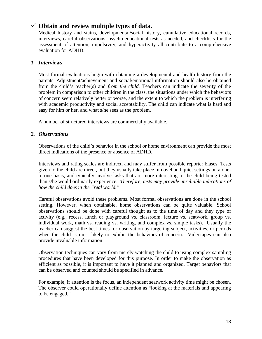### 9 **Obtain and review multiple types of data.**

Medical history and status, developmental/social history, cumulative educational records, interviews, careful observations, psycho-educational tests as needed, and checklists for the assessment of attention, impulsivity, and hyperactivity all contribute to a comprehensive evaluation for ADHD.

#### *1. Interviews*

Most formal evaluations begin with obtaining a developmental and health history from the parents. Adjustment/achievement and social/emotional information should also be obtained from the child's teacher(s) and *from the child.* Teachers can indicate the severity of the problem in comparison to other children in the class, the situations under which the behaviors of concern seem relatively better or worse, and the extent to which the problem is interfering with academic productivity and social acceptability. The child can indicate what is hard and easy for him or her, and what s/he sees as the problem.

A number of structured interviews are commercially available.

#### *2. Observations*

Observations of the child's behavior in the school or home environment can provide the most direct indications of the presence or absence of ADHD.

Interviews and rating scales are indirect, and may suffer from possible reporter biases. Tests given to the child are direct, but they usually take place in novel and quiet settings on a oneto-one basis, and typically involve tasks that are more interesting to the child being tested than s/he would ordinarily experience. *Therefore, tests may provide unreliable indications of how the child does in the "real world."* 

Careful observations avoid these problems. Most formal observations are done in the school setting. However, when obtainable, home observations can be quite valuable. School observations should be done with careful thought as to the time of day and they type of activity (e.g., recess, lunch or playground vs. classroom, lecture vs. seatwork, group vs. individual work, math vs. reading vs. writing, and complex vs. simple tasks). Usually the teacher can suggest the best times for observation by targeting subject, activities, or periods when the child is most likely to exhibit the behaviors of concern. Videotapes can also provide invaluable information.

Observation techniques can vary from merely watching the child to using complex sampling procedures that have been developed for this purpose. In order to make the observation as efficient as possible, it is important to have it planned and organized. Target behaviors that can be observed and counted should be specified in advance.

For example, if attention is the focus, an independent seatwork activity time might be chosen. The observer could operationally define attention as "looking at the materials and appearing to be engaged."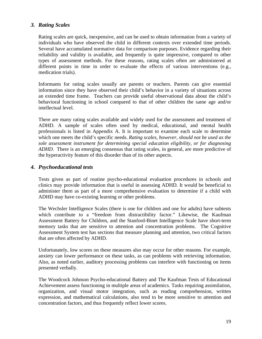#### *3. Rating Scales*

Rating scales are quick, inexpensive, and can be used to obtain information from a variety of individuals who have observed the child in different contexts over extended time periods. Several have accumulated normative data for comparison purposes. Evidence regarding their reliability and validity is available, and frequently is quite impressive, compared to other types of assessment methods. For these reasons, rating scales often are administered at different points in time in order to evaluate the effects of various interventions (e.g., medication trials).

Informants for rating scales usually are parents or teachers. Parents can give essential information since they have observed their child's behavior in a variety of situations across an extended time frame. Teachers can provide useful observational data about the child's behavioral functioning in school compared to that of other children the same age and/or intellectual level.

There are many rating scales available and widely used for the assessment and treatment of ADHD. A sample of scales often used by medical, educational, and mental health professionals is listed in Appendix A. It is important to examine each scale to determine which one meets the child's specific needs. *Rating scales, however, should not be used as the sole assessment instrument for determining special education eligibility, or for diagnosing ADHD*. There is an emerging consensus that rating scales, in general, are more predictive of the hyperactivity feature of this disorder than of its other aspects.

#### *4. Psychoeducational tests*

Tests given as part of routine psycho-educational evaluation procedures in schools and clinics may provide information that is useful in assessing ADHD. It would be beneficial to administer them as part of a more comprehensive evaluation to determine if a child with ADHD may have co-existing learning or other problems.

The Wechsler Intelligence Scales (there is one for children and one for adults) have subtests which contribute to a "freedom from distractibility factor." Likewise, the Kaufman Assessment Battery for Children, and the Stanford-Binet Intelligence Scale have short-term memory tasks that are sensitive to attention and concentration problems. The Cognitive Assessment System test has sections that measure planning and attention, two critical factors that are often affected by ADHD.

Unfortunately, low scores on these measures also may occur for other reasons. For example, anxiety can lower performance on these tasks, as can problems with retrieving information. Also, as noted earlier, auditory processing problems can interfere with functioning on items presented verbally.

The Woodcock Johnson Psycho-educational Battery and The Kaufman Tests of Educational Achievement assess functioning in multiple areas of academics. Tasks requiring assimilation, organization, and visual motor integration, such as reading comprehension, written expression, and mathematical calculations, also tend to be more sensitive to attention and concentration factors, and thus frequently reflect lower scores.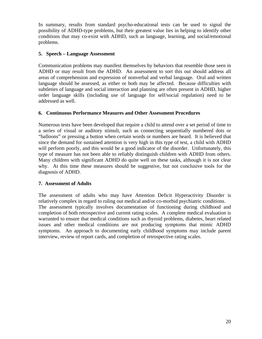In summary, results from standard psycho-educational tests can be used to signal the possibility of ADHD-type problems, but their greatest value lies in helping to identify other conditions that may co-exist with ADHD, such as language, learning, and social/emotional problems.

#### **5. Speech – Language Assessment**

Communication problems may manifest themselves by behaviors that resemble those seen in ADHD or may result from the ADHD. An assessment to sort this out should address all areas of comprehension and expression of nonverbal and verbal language. Oral and written language should be assessed, as either or both may be affected. Because difficulties with subtleties of language and social interaction and planning are often present in ADHD, higher order language skills (including use of language for self/social regulation) need to be addressed as well.

#### **6. Continuous Performance Measures and Other Assessment Procedures**

Numerous tests have been developed that require a child to attend over a set period of time to a series of visual or auditory stimuli, such as connecting sequentially numbered dots or "balloons" or pressing a button when certain words or numbers are heard. It is believed that since the demand for sustained attention is very high in this type of test, a child with ADHD will perform poorly, and this would be a good indicator of the disorder. Unfortunately, this type of measure has not been able to reliably distinguish children with ADHD from others. Many children with significant ADHD do quite well on these tasks, although it is not clear why. At this time these measures should be suggestive, but not conclusive tools for the diagnosis of ADHD.

#### **7. Assessment of Adults**

The assessment of adults who may have Attention Deficit Hyperactivity Disorder is relatively complex in regard to ruling out medical and/or co-morbid psychiatric conditions. The assessment typically involves documentation of functioning during childhood and completion of both retrospective and current rating scales. A complete medical evaluation is warranted to ensure that medical conditions such as thyroid problems, diabetes, heart related issues and other medical conditions are not producing symptoms that mimic ADHD symptoms. An approach to documenting early childhood symptoms may include parent interview, review of report cards, and completion of retrospective rating scales.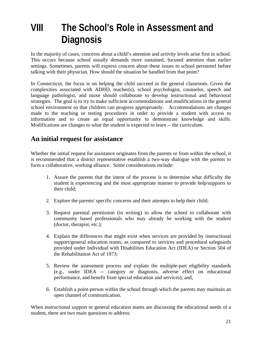## **VIII The School's Role in Assessment and Diagnosis**

In the majority of cases, concerns about a child's attention and activity levels arise first in school. This occurs because school usually demands more sustained, focused attention than earlier settings. Sometimes, parents will express concern about these issues to school personnel before talking with their physician. How should the situation be handled from that point?

In Connecticut, the focus is on helping the child succeed in the general classroom. Given the complexities associated with ADHD, teacher(s), school psychologist, counselor, speech and language pathologist, and nurse should collaborate to develop instructional and behavioral strategies. The goal is to try to make sufficient accommodations and modifications in the general school environment so that children can progress appropriately. Accommodations are changes made to the teaching or testing procedures in order to provide a student with access to information and to create an equal opportunity to demonstrate knowledge and skills. Modifications are changes to what the student is expected to learn -- the curriculum.

## **An initial request for assistance**

Whether the initial request for assistance originates from the parents or from within the school, it is recommended that a district representative establish a two-way dialogue with the parents to form a collaborative, working alliance. Some considerations include:

- 1. Assure the parents that the intent of the process is to determine what difficulty the student is experiencing and the most appropriate manner to provide help/supports to their child;
- 2. Explore the parents' specific concerns and their attempts to help their child;
- 3. Request parental permission (in writing) to allow the school to collaborate with community based professionals who may already be working with the student (doctor, therapist, etc.);
- 4. Explain the differences that might exist when services are provided by instructional support/general education teams, as compared to services and procedural safeguards provided under Individual with Disabilities Education Act (IDEA) or Section 504 of the Rehabilitation Act of 1973;
- 5. Review the assessment process and explain the multiple-part eligibility standards (e.g., under IDEA -- category or diagnosis, adverse effect on educational performance, and benefit from special education and services); and,
- 6. Establish a point-person within the school through which the parents may maintain an open channel of communication.

When instructional support or general education teams are discussing the educational needs of a student, there are two main questions to address: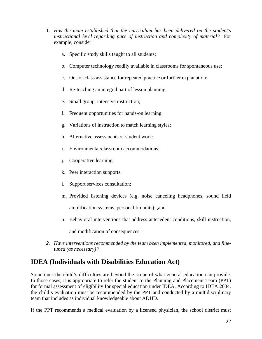- 1. *Has the team established that the curriculum has been delivered on the student's instructional level regarding pace of instruction and complexity of material?* For example, consider:
	- a. Specific study skills taught to all students;
	- b. Computer technology readily available in classrooms for spontaneous use;
	- c. Out-of-class assistance for repeated practice or further explanation;
	- d. Re-teaching an integral part of lesson planning;
	- e. Small group, intensive instruction;
	- f. Frequent opportunities for hands-on learning.
	- g. Variations of instruction to match learning styles;
	- h. Alternative assessments of student work;
	- i. Environmental/classroom accommodations;
	- j. Cooperative learning;
	- k. Peer interaction supports;
	- l. Support services consultation;
	- m. Provided listening devices (e.g. noise canceling headphones, sound field

amplification systems, personal fm units); ,and

n. Behavioral interventions that address antecedent conditions, skill instruction,

and modification of consequences

*2. Have interventions recommended by the team been implemented, monitored, and finetuned (as necessary)?* 

## **IDEA (Individuals with Disabilities Education Act)**

Sometimes the child's difficulties are beyond the scope of what general education can provide. In those cases, it is appropriate to refer the student to the Planning and Placement Team (PPT) for formal assessment of eligibility for special education under IDEA. According to IDEA 2004, the child's evaluation must be recommended by the PPT and conducted by a multidisciplinary team that includes as individual knowledgeable about ADHD.

If the PPT recommends a medical evaluation by a licensed physician, the school district must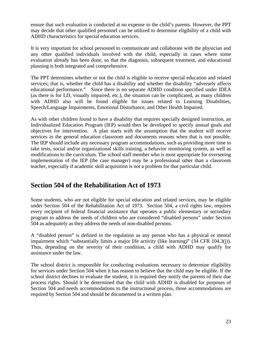ensure that such evaluation is conducted at no expense to the child's parents. However, the PPT may decide that other qualified personnel can be utilized to determine eligibility of a child with ADHD characteristics for special education services.

It is very important for school personnel to communicate and collaborate with the physician and any other qualified individuals involved with the child, especially in cases where some evaluation already has been done, so that the diagnosis, subsequent treatment, and educational planning is both integrated and comprehensive.

The PPT determines whether or not the child is eligible to receive special education and related services; that is, whether the child has a disability and whether the disability "adversely affects educational performance." Since there is no separate ADHD condition specified under IDEA (as there is for LD, visually impaired, etc.), the situation can be complicated, as many children with ADHD also will be found eligible for issues related to Learning Disabilities, Speech/Language Impairments, Emotional Disturbance, and Other Health Impaired.

As with other children found to have a disability that requires specially designed instruction, an Individualized Education Program (IEP) would then be developed to specify annual goals and objectives for intervention. A plan starts with the assumption that the student will receive services in the general education classroom and documents reasons when that is not possible. The IEP should include any necessary program accommodations, such as providing more time to take tests, social and/or organizational skills training, a behavior monitoring system, as well as modifications to the curriculum. The school staff member who is most appropriate for overseeing implementation of the IEP (the case manager) may be a professional other than a classroom teacher, especially if academic skill acquisition is not a problem for that particular child.

## **Section 504 of the Rehabilitation Act of 1973**

Some students, who are not eligible for special education and related services, may be eligible under Section 504 of the Rehabilitation Act of 1973. Section 504, a civil rights law, requires every recipient of federal financial assistance that operates a public elementary or secondary program to address the needs of children who are considered "disabled persons" under Section 504 as adequately as they address the needs of non-disabled persons.

A "disabled person" is defined in the regulation as any person who has a physical or mental impairment which "substantially limits a major life activity (like learning)" (34 CFR 104.3(j)). Thus, depending on the severity of their condition, a child with ADHD may qualify for assistance under the law.

The school district is responsible for conducting evaluations necessary to determine eligibility for services under Section 504 when it has reason to believe that the child may be eligible. If the school district declines to evaluate the student, it is required they notify the parents of their due process rights. Should it be determined that the child with ADHD is disabled for purposes of Section 504 and needs accommodations to the instructional process, those accommodations are required by Section 504 and should be documented in a written plan.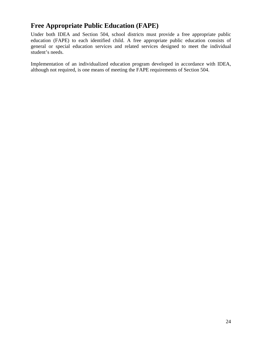## **Free Appropriate Public Education (FAPE)**

Under both IDEA and Section 504, school districts must provide a free appropriate public education (FAPE) to each identified child. A free appropriate public education consists of general or special education services and related services designed to meet the individual student's needs.

Implementation of an individualized education program developed in accordance with IDEA, although not required, is one means of meeting the FAPE requirements of Section 504.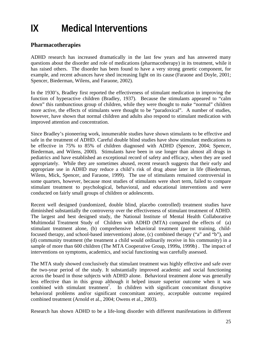# **IX Medical Interventions**

### **Pharmacotherapies**

ADHD research has increased dramatically in the last few years and has answered many questions about the disorder and role of medications (pharmacotherapy) in its treatment, while it has raised others. The disorder has been found to have a very strong genetic component, for example, and recent advances have shed increasing light on its cause (Faraone and Doyle, 2001; Spencer, Biederman, Wilens, and Faraone, 2002).

In the 1930's, Bradley first reported the effectiveness of stimulant medication in improving the function of hyperactive children (Bradley, 1937). Because the stimulants appeared to "calm down" this rambunctious group of children, while they were thought to make "normal" children more active, the effects of stimulants were thought to be "paradoxical". A number of studies, however, have shown that normal children and adults also respond to stimulant medication with improved attention and concentration.

Since Bradley's pioneering work, innumerable studies have shown stimulants to be effective and safe in the treatment of ADHD. Careful double blind studies have show stimulant medications to be effective in 75% to 85% of children diagnosed with ADHD (Spencer, 2004; Spencer, Biederman, and Wilens, 2000). Stimulants have been in use longer than almost all drugs in pediatrics and have established an exceptional record of safety and efficacy, when they are used appropriately. While they are sometimes abused, recent research suggests that their early and appropriate use in ADHD may reduce a child's risk of drug abuse later in life (Biederman, Wilens, Mick, Spencer, and Faraone, 1999). The use of stimulants remained controversial in some quarters, however, because most studies of stimulants were short term, failed to compare stimulant treatment to psychological, behavioral, and educational interventions and were conducted on fairly small groups of children or adolescents.

Recent well designed (randomized, double blind, placebo controlled) treatment studies have diminished substantially the controversy over the effectiveness of stimulant treatment of ADHD. The largest and best designed study, the National Institute of Mental Health Collaborative Multimodal Treatment Study of Children with ADHD (MTA) compared the effects of (a) stimulant treatment alone, (b) comprehensive behavioral treatment (parent training, childfocused therapy, and school-based interventions) alone, (c) combined therapy ("a" and "b"), and (d) community treatment (the treatment a child would ordinarily receive in his community) in a sample of more than 600 children (The MTA Cooperative Group, 1999a, 1999b) . The impact of interventions on symptoms, academics, and social functioning was carefully assessed.

The MTA study showed conclusively that stimulant treatment was highly effective and safe over the two-year period of the study. It substantially improved academic and social functioning across the board in those subjects with ADHD alone. Behavioral treatment alone was generally less effective than in this group although it helped insure superior outcome when it was combined with stimulant treatment<sup>7</sup>. In children with significant concomitant disruptive behavioral problems and/or significant concomitant anxiety, acceptable outcome required combined treatment (Arnold et al., 2004; Owens et al., 2003).

Research has shown ADHD to be a life-long disorder with different manifestations in different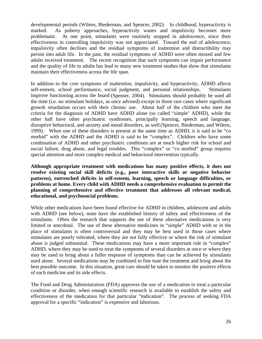developmental periods (Wilens, Biederman, and Spencer, 2002). In childhood, hyperactivity is marked. As puberty approaches, hyperactivity wanes and impulsivity becomes more problematic. At one point, stimulants were routinely stopped in adolescence, since their effectiveness in controlling impulsivity was not appreciated. Toward the end of adolescence, impulsivity often declines and the residual symptoms of inattention and distractibility may persist into adult life. In the past, the residual symptoms of ADHD were often missed and few adults received treatment. The recent recognition that such symptoms can impair performance and the quality of life in adults has lead to many new treatment studies that show that stimulants maintain their effectiveness across the life span.

In addition to the core symptoms of inattention, impulsivity, and hyperactivity, ADHD affects self-esteem, school performance, social judgment, and personal relationships. Stimulants improve functioning across the board (Spenser, 2004). Stimulants should probably be used all the time (i.e. no stimulant holidays, as once advised) except in those rare cases where significant growth retardation occurs with their chronic use. About half of the children who meet the criteria for the diagnosis of ADHD have ADHD alone (so called "simple' ADHD), while the other half have other psychiatric syndromes, principally learning, speech and language, disruptive behavioral, and anxiety and mood disorders, as well(Spencer, Biederman, and Wilens, 1999). When one of these disorders is present at the same time as ADHD, it is said to be "co morbid" with the ADHD and the ADHD is said to be "complex". Children who have some combination of ADHD and other psychiatric conditions are at much higher risk for school and social failure, drug abuse, and legal troubles. This "complex" or "co morbid" group requires special attention and more complex medical and behavioral intervention typically.

**Although appropriate treatment with medications has many positive effects, it does not resolve existing social skill deficits (e.g., poor interactive skills or negative behavior patterns), entrenched deficits in self-esteem, learning, speech or language difficulties, or problems at home. Every child with ADHD needs a comprehensive evaluation to permit the planning of comprehensive and effective treatment that addresses all relevant medical, educational, and psychosocial problems.** 

While other medications have been found effective for ADHD in children, adolescent and adults with ADHD (see below), none have the established history of safety and effectiveness of the stimulants. Often the research that supports the use of these alternative medications is very limited or anecdotal. The use of these alternative medicines in "simple" ADHD with or in the place of stimulants is often controversial and they may be best used in those cases where stimulants are poorly tolerated, where they are not fully effective or where the risk of stimulant abuse is judged substantial. These medications may have a more important role in "complex" ADHD, where they may be used to treat the symptoms of several disorders at once or where they may be used to bring about a fuller response of symptoms than can be achieved by stimulants used alone. Several medications may be combined to fine tune the treatment and bring about the best possible outcome. In this situation, great care should be taken to monitor the positive effects of each medicine and its side effects.

The Food and Drug Administration (FDA) approves the use of a medication to treat a particular condition or disorder, when enough scientific research is available to establish the safety and effectiveness of the medication for that particular "indication". The process of seeking FDA approval for a specific "indication" is expensive and laborious.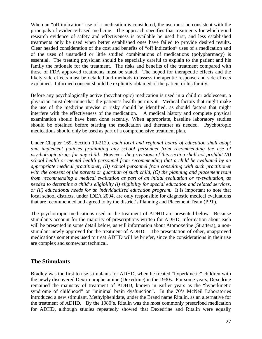When an "off indication" use of a medication is considered, the use must be consistent with the principals of evidence-based medicine. The approach specifies that treatments for which good research evidence of safety and effectiveness is available be used first, and less established treatments only be used when better established ones have failed to provide desired results. Clear headed consideration of the cost and benefits of "off indication" uses of a medication and of the uses of unstudied or little studied combinations of medications (polypharmacy) is essential. The treating physician should be especially careful to explain to the patient and his family the rationale for the treatment. The risks and benefits of the treatment compared with those of FDA approved treatments must be stated. The hoped for therapeutic effects and the likely side effects must be detailed and methods to assess therapeutic response and side effects explained. Informed consent should be explicitly obtained of the patient or his family.

Before any psychologically active (psychotropic) medication is used in a child or adolescent, a physician must determine that the patient's health permits it. Medical factors that might make the use of the medicine unwise or risky should be identified, as should factors that might interfere with the effectiveness of the medication. A medical history and complete physical examination should have been done recently. When appropriate, baseline laboratory studies should be obtained before starting the medication and thereafter as needed. Psychotropic medications should only be used as part of a comprehensive treatment plan.

Under Chapter 169, Section 10-212b, *each local and regional board of education shall adopt and implement policies prohibiting any school personnel from recommending the use of psychotropic drugs for any child.* However, *the provisions of this section shall not prohibit (A) school health or mental health personnel from recommending that a child be evaluated by an appropriate medical practitioner, (B) school personnel from consulting with such practitioner with the consent of the parents or guardian of such child, (C) the planning and placement team from recommending a medical evaluation as part of an initial evaluation or re-evaluation, as needed to determine a child's eligibility (i) eligibility for special education and related services, or (ii) educational needs for an individualized education program.* It is important to note that local school districts, under IDEA 2004, are only responsible for diagnostic medical evaluations that are recommended and agreed to by the district's Planning and Placement Team (PPT).

The psychotropic medications used in the treatment of ADHD are presented below. Because stimulants account for the majority of prescriptions written for ADHD, information about each will be presented in some detail below, as will information about Atomoxetine (Strattera), a nonstimulant newly approved for the treatment of ADHD. The presentation of other, unapproved medications sometimes used to treat ADHD will be briefer, since the considerations in their use are complex and somewhat technical.

#### **The Stimulants**

Bradley was the first to use stimulants for ADHD, when he treated "hyperkinetic" children with the newly discovered Dextro-amphetamine (Dexedrine) in the 1930s. For some years, Dexedrine remained the mainstay of treatment of ADHD, known in earlier years as the "hyperkinetic syndrome of childhood" or "minimal brain dysfunction". In the 70's McNeil Laboratories introduced a new stimulant, Methylphenidate, under the Brand name Ritalin, as an alternative for the treatment of ADHD. By the 1980's, Ritalin was the most commonly prescribed medication for ADHD, although studies repeatedly showed that Dexedrine and Ritalin were equally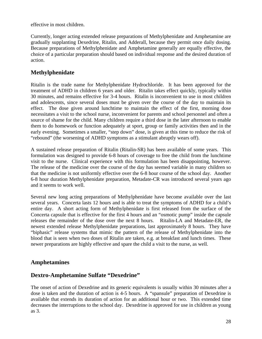effective in most children.

Currently, longer acting extended release preparations of Methylphenidate and Amphetamine are gradually supplanting Dexedrine, Ritalin, and Adderall, because they permit once daily dosing. Because preparations of Methylphenidate and Amphetamine generally are equally effective, the choice of a particular preparation should based on individual response and the desired duration of action.

### **Methylphenidate**

Ritalin is the trade name for Methylphenidate Hydrochloride. It has been approved for the treatment of ADHD in children 6 years and older. Ritalin takes effect quickly, typically within 30 minutes, and remains effective for 3-4 hours. Ritalin is inconvenient to use in most children and adolescents, since several doses must be given over the course of the day to maintain its effect. The dose given around lunchtime to maintain the effect of the first, morning dose necessitates a visit to the school nurse, inconvenient for parents and school personnel and often a source of shame for the child. Many children require a third dose in the later afternoon to enable them to do homework or function adequately at sport, group or family activities then and in the early evening. Sometimes a smaller, "step down" dose, is given at this time to reduce the risk of "rebound" (the worsening of ADHD symptoms as a stimulant abruptly wears off).

A sustained release preparation of Ritalin (Ritalin-SR) has been available of some years. This formulation was designed to provide 6-8 hours of coverage to free the child from the lunchtime visit to the nurse. Clinical experience with this formulation has been disappointing, however. The release of the medicine over the course of the day has seemed variable in many children so that the medicine is not uniformly effective over the 6-8 hour course of the school day. Another 6-8 hour duration Methylphenidate preparation, Metadate-CR was introduced several years ago and it seems to work well.

Several new long acting preparations of Methylphenidate have become available over the last several years. Concerta lasts 12 hours and is able to treat the symptoms of ADHD for a child's entire day. A short acting form of Methylphenidate is first released from the surface of the Concerta capsule that is effective for the first 4 hours and an "osmotic pump" inside the capsule releases the remainder of the dose over the next 8 hours. Ritalin-LA and Metadate-ER, the newest extended release Methylphenidate preparations, last approximately 8 hours. They have "biphasic" release systems that mimic the pattern of the release of Methylphenidate into the blood that is seen when two doses of Ritalin are taken, e.g. at breakfast and lunch times. These newer preparations are highly effective and spare the child a visit to the nurse, as well.

#### **Amphetamines**

#### **Dextro-Amphetamine Sulfate "Dexedrine"**

The onset of action of Dexedrine and its generic equivalents is usually within 30 minutes after a dose is taken and the duration of action is 4-5 hours. A "spansule" preparation of Dexedrine is available that extends its duration of action for an additional hour or two. This extended time decreases the interruptions to the school day. Dexedrine is approved for use in children as young as 3.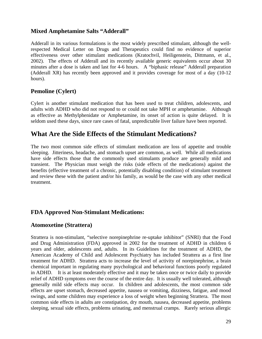### **Mixed Amphetamine Salts "Adderall"**

Adderall in its various formulations is the most widely prescribed stimulant, although the wellrespected Medical Letter on Drugs and Therapeutics could find no evidence of superior effectiveness over other stimulant medications (Kratochvil, Heiligenstein, Dittmann, et al., 2002). The effects of Adderall and its recently available generic equivalents occur about 30 minutes after a dose is taken and last for 4-6 hours. A "biphasic release" Adderall preparation (Adderall XR) has recently been approved and it provides coverage for most of a day (10-12 hours).

#### **Pemoline (Cylert)**

Cylert is another stimulant medication that has been used to treat children, adolescents, and adults with ADHD who did not respond to or could not take MPH or amphetamine. Although as effective as Methylphenidate or Amphetamine, its onset of action is quite delayed. It is seldom used these days, since rare cases of fatal, unpredictable liver failure have been reported.

## **What Are the Side Effects of the Stimulant Medications?**

The two most common side effects of stimulant medication are loss of appetite and trouble sleeping. Jitteriness, headache, and stomach upset are common, as well. While all medications have side effects those that the commonly used stimulants produce are generally mild and transient. The Physician must weigh the risks (side effects of the medications) against the benefits (effective treatment of a chronic, potentially disabling condition) of stimulant treatment and review these with the patient and/or his family, as would be the case with any other medical treatment.

#### **FDA Approved Non-Stimulant Medications:**

#### **Atomoxetine (Strattera)**

Strattera is non-stimulant, "selective norepinephrine re-uptake inhibitor" (SNRI) that the Food and Drug Administration (FDA) approved in 2002 for the treatment of ADHD in children 6 years and older, adolescents and, adults. In its Guidelines for the treatment of ADHD, the American Academy of Child and Adolescent Psychiatry has included Strattera as a first line treatment for ADHD. Strattera acts to increase the level of activity of norepinephrine, a brain chemical important in regulating many psychological and behavioral functions poorly regulated in ADHD. It is at least moderately effective and it may be taken once or twice daily to provide relief of ADHD symptoms over the course of the entire day. It is usually well tolerated, although generally mild side effects may occur. In children and adolescents, the most common side effects are upset stomach, decreased appetite, nausea or vomiting, dizziness, fatigue, and mood swings, and some children may experience a loss of weight when beginning Strattera. The most common side effects in adults are constipation, dry mouth, nausea, decreased appetite, problems sleeping, sexual side effects, problems urinating, and menstrual cramps. Rarely serious allergic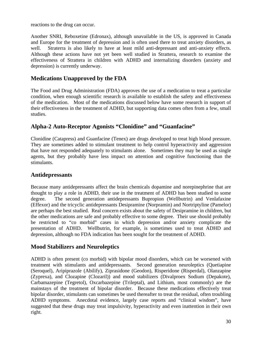reactions to the drug can occur.

Another SNRI, Reboxetine (Edronax), although unavailable in the US, is approved in Canada and Europe for the treatment of depression and is often used there to treat anxiety disorders, as well. Straterra is also likely to have at least mild anti-depressant and anti-anxiety effects. Although these actions have not yet been well studied in Strattera, research to examine the effectiveness of Strattera in children with ADHD and internalizing disorders (anxiety and depression) is currently underway.

### **Medications Unapproved by the FDA**

The Food and Drug Administration (FDA) approves the use of a medication to treat a particular condition, when enough scientific research is available to establish the safety and effectiveness of the medication. Most of the medications discussed below have some research in support of their effectiveness in the treatment of ADHD, but supporting data comes often from a few, small studies.

### **Alpha-2 Auto-Receptor Agonists "Clonidine" and "Guanfacine"**

Clonidine (Catapress) and Guanfacine (Tenex) are drugs developed to treat high blood pressure. They are sometimes added to stimulant treatment to help control hyperactivity and aggression that have not responded adequately to stimulants alone. Sometimes they may be used as single agents, but they probably have less impact on attention and cognitive functioning than the stimulants.

#### **Antidepressants**

Because many antidepressants affect the brain chemicals dopamine and norepinephrine that are thought to play a role in ADHD, their use in the treatment of ADHD has been studied to some degree. The second generation antidepressants Bupropion (Wellbutrin) and Venlafaxine (Effexor) and the tricyclic antidepressants Desipramine (Norpramin) and Nortriptyline (Pamelor) are perhaps the best studied. Real concern exists about the safety of Desipramine in children, but the other medications are safe and probably effective to some degree. Their use should probably be restricted to "co morbid" cases in which depression and/or anxiety complicate the presentation of ADHD. Wellbutrin, for example, is sometimes used to treat ADHD and depression, although no FDA indication has been sought for the treatment of ADHD.

#### **Mood Stabilizers and Neuroleptics**

ADHD is often present (co morbid) with bipolar mood disorders, which can be worsened with treatment with stimulants and antidepressants. Second generation neuroleptics (Quetiapine (Seroquel), Aripiprazole (Abilify), Ziprasidone (Geodon), Risperidone (Risperdal), Olanzapine (Zyprexa), and Clozapine (Clozaril)) and mood stabilizers (Divalproex Sodium (Depakote), Carbamazepine (Tegretol), Oxcarbazepine (Trileptal), and Lithium, most commonly) are the mainstays of the treatment of bipolar disorder. Because these medications effectively treat bipolar disorder, stimulants can sometimes be used thereafter to treat the residual, often troubling ADHD symptoms. Anecdotal evidence, largely case reports and "clinical wisdom", have suggested that these drugs may treat impulsivity, hyperactivity and even inattention in their own right.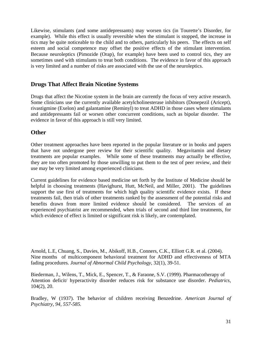Likewise, stimulants (and some antidepressants) may worsen tics (in Tourette's Disorder, for example). While this effect is usually reversible when the stimulant is stopped, the increase in tics may be quite noticeable to the child and to others, particularly his peers. The effects on self esteem and social competence may offset the positive effects of the stimulant intervention. Because neuroleptics (Pimozide (Orap), for example) have been used to control tics, they are sometimes used with stimulants to treat both conditions. The evidence in favor of this approach is very limited and a number of risks are associated with the use of the neuroleptics.

### **Drugs That Affect Brain Nicotine Systems**

Drugs that affect the Nicotine system in the brain are currently the focus of very active research. Some clinicians use the currently available acetylcholinesterase inhibitors (Donepezil (Aricept), rivastigmine (Exelon) and galantamine (Reminyl) to treat ADHD in those cases where stimulants and antidepressants fail or worsen other concurrent conditions, such as bipolar disorder. The evidence in favor of this approach is still very limited.

#### **Other**

Other treatment approaches have been reported in the popular literature or in books and papers that have not undergone peer review for their scientific quality. Megavitamin and dietary treatments are popular examples. While some of these treatments may actually be effective, they are too often promoted by those unwilling to put them to the test of peer review, and their use may be very limited among experienced clinicians.

Current guidelines for evidence based medicine set forth by the Institute of Medicine should be helpful in choosing treatments (Havighurst, Hutt, McNeil, and Miller, 2001). The guidelines support the use first of treatments for which high quality scientific evidence exists. If these treatments fail, then trials of other treatments ranked by the assessment of the potential risks and benefits drawn from more limited evidence should be considered. The services of an experienced psychiatrist are recommended, when trials of second and third line treatments, for which evidence of effect is limited or significant risk is likely, are contemplated.

Arnold, L.E, Chuang, S., Davies, M., Abikoff, H.B., Conners, C.K., Elliott G.R. et al. (2004). Nine months of multicomponent behavioral treatment for ADHD and effectiveness of MTA fading procedures. *Journal of Abnormal Child Psychology*, 32(1), 39-51.

Biederman, J., Wilens, T., Mick, E., Spencer, T., & Faraone, S.V. (1999). Pharmacotherapy of Attention deficit/ hyperactivity disorder reduces risk for substance use disorder. *Pediatrics,* 104(2), 20.

Bradley, W (1937). The behavior of children receiving Benzedrine. *American Journal of Psychiatry, 94, 557-585.*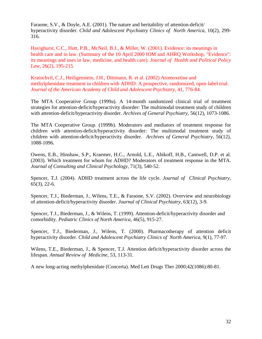Faraone, S.V., & Doyle, A.E. (2001). The nature and heritability of attention-deficit/ hyperactivity disorder. *Child and Adolescent Psychiatry Clinics of North America*, 10(2), 299- 316.

Havighurst, C.C., Hutt, P.B., McNeil, B.J., & Miller, W. (2001). Evidence: its meanings in health care and in law. (Summary of the 10 April 2000 IOM and AHRQ Workshop, "Evidence": its meanings and uses in law, medicine, and health care). *Journal of Health and Political Policy Law*, 26(2), 195-215.

Kratochvil, C.J., Heiligenstein, J.H., Dittmann, R. et al. (2002) Atomoxetine and methylphenidate treatment in children with ADHD: A prospective, randomized, open-label trial. *Journal of the American Academy of Child and Adolescent Psychiatry,* 41, 776-84.

The MTA Cooperative Group (1999a). A 14-month randomized clinical trial of treatment strategies for attention-deficit/hyperactivity disorder: The multimodal treatment study of children with attention-deficit/hyperactivity disorder. *Archives of General Psychiatry,* 56(12), 1073-1086.

The MTA Cooperative Group. (1999b). Moderators and mediators of treatment response for children with attention-deficit/hyperactivity disorder: The multimodal treatment study of children with attention-deficit/hyperactivity disorder. *Archives of General Psychiatry,* 56(12), 1088-1096.

Owens, E.B., Hinshaw, S.P., Kraemer, H.C., Arnold, L.E., Abikoff, H.B., Cantwell, D.P. et al. (2003). Which treatment for whom for ADHD? Moderators of treatment response in the MTA. *Journal of Consulting and Clinical Psychology,* 71(3), 540-52.

Spencer, T.J. (2004). ADHD treatment across the life cycle. *Journal of Clinical Psychiatry*, 65(3), 22-6.

Spencer, T.J., Biederman, J., Wilens, T.E., & Faraone, S.V. (2002). Overview and neurobiology of attention-deficit/hyperactivity disorder. *Journal of Clinical Psychiatry*, 63(12), 3-9.

Spencer, T.J., Biederman, J., & Wilens, T. (1999). Attention-deficit/hyperactivity disorder and comorbidity. *Pediatric Clinics of North America,* 46(5), 915-27.

Spencer, T.J., Biederman, J., Wilens, T. (2000). Pharmacotherapy of attention deficit hyperactivity disorder. *Child and Adolescent Psychiatry Clinics of North America*, 9(1), 77-97.

Wilens, T.E., Biederman, J., & Spencer, T.J. Attention deficit/hyperactivity disorder across the lifespan. *Annual Review of Medicine*, 53, 113-31.

A new long-acting methylphenidate (Concerta). Med Lett Drugs Ther 2000;42(1086):80-81.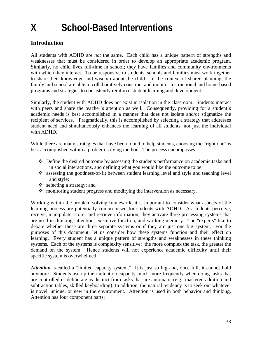# **X School-Based Interventions**

### **Introduction**

All students with ADHD are *not* the same. Each child has a unique pattern of strengths and weaknesses that must be considered in order to develop an appropriate academic program. Similarly, no child lives full-time in school; they have families and community environments with which they interact. To be responsive to students, schools and families must work together to share their knowledge and wisdom about the child. In the context of shared planning, the family and school are able to collaboratively construct and monitor instructional and home-based programs and strategies to consistently reinforce student learning and development.

Similarly, the student with ADHD does not exist in isolation in the classroom. Students interact with peers and share the teacher's attention as well. Consequently, providing for a student's academic needs is best accomplished in a manner that does not isolate and/or stigmatize the recipient of services. Pragmatically, this is accomplished by selecting a strategy that addresses student need and simultaneously enhances the learning of all students, not just the individual with ADHD.

While there are many strategies that have been found to help students, choosing the "right one" is best accomplished within a problem-solving method. The process encompasses:

- Define the desired outcome by assessing the students performance on academic tasks and in social interactions, and defining what you would like the outcome to be;
- assessing the goodness-of-fit between student learning level and style and teaching level and style;
- $\triangleleft$  selecting a strategy; and
- $\cdot$  monitoring student progress and modifying the intervention as necessary.

Working within the problem solving framework, it is important to consider what aspects of the learning process are potentially compromised for students with ADHD. As students perceive, receive, manipulate, store, and retrieve information, they activate three processing systems that are used in thinking: attention, executive function, and working memory. The "experts" like to debate whether these are three separate systems or if they are just one big system. For the purposes of this document, let us consider how these systems function and their effect on learning. Every student has a unique pattern of strengths and weaknesses in these thinking systems. Each of the systems is complexity sensitive: the more complex the task, the greater the demand on the system. Hence students will not experience academic difficulty until their specific system is overwhelmed.

Attention is called a "limited capacity system." It is just so big and, once full, it cannot hold anymore. Students use up their attention capacity much more frequently when doing tasks that are controlled or deliberate as distinct from tasks that are automatic (e.g., mastered addition and subtraction tables, skilled keyboarding). In addition, the natural tendency is to seek out whatever is novel, unique, or new in the environment. Attention is used in both behavior and thinking. Attention has four component parts: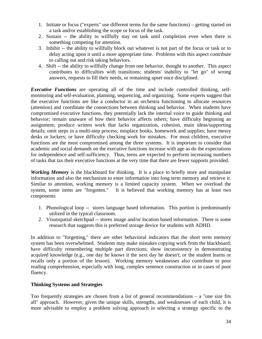- 1. Initiate or focus ("experts" use different terms for the same functions) getting started on a task and/or establishing the scope or focus of the task.
- 2. Sustain -- the ability to willfully stay on task until completion even when there is something competing for attention.
- 3. Inhibit -- the ability to willfully block out whatever is not part of the focus or task or to delay acting upon it until a more appropriate time. Problems with this aspect contribute to calling out and risk taking behaviors.
- 4. Shift -- the ability to willfully change from one behavior, thought to another. This aspect contributes to difficulties with transitions; students' inability to "let go" of wrong answers, requests to fill their needs, or remaining upset once disciplined.

*Executive Functions* are operating all of the time and include controlled thinking, selfmonitoring and self-evaluation, planning, sequencing, and organizing. Some experts suggest that the executive functions are like a conductor in an orchestra functioning to allocate resources (attention) and coordinate the connections between thinking and behavior. When students have compromised executive functions, they potentially lack the internal voice to guide thinking and behavior; remain unaware of how their behavior affects others; have difficulty beginning an assignment; produce written work that lacks organization, cohesion, main ideas/supporting details; omit steps in a multi-step process; misplace books, homework and supplies; have messy desks or lockers; or have difficulty checking work for mistakes. For most children, executive functions are the most compromised among the three systems. It is important to consider that academic and social demands on the executive functions increase with age as do the expectations for independence and self-sufficiency. Thus, teens are expected to perform increasing numbers of tasks that tax their executive functions at the very time that there are fewer supports provided.

*Working Memory* is the blackboard for thinking. It is a place to briefly store and manipulate information and also the mechanism to enter information into long term memory and retrieve it. Similar to attention, working memory is a limited capacity system. When we overload the system, some items are "forgotten." It is believed that working memory has at least two components

- 1. Phonological loop -- stores language based information. This portion is predominantly utilized in the typical classroom.
- 2. Visuospatial sketchpad -- stores image and/or location based information. There is some research that suggests this is preferred storage device for students with ADHD.

In addition to "forgetting," there are other behavioral indicators that the short term memory system has been overwhelmed. Students may make mistakes copying work from the blackboard; have difficulty remembering multiple part directions; show inconsistency in demonstrating acquired knowledge (e.g., one day he knows it the next day he doesn't; or the student learns or recalls only a portion of the lesson). Working memory weaknesses also contribute to poor reading comprehension, especially with long, complex sentence construction or in cases of poor fluency.

#### **Thinking Systems and Strategies**

Too frequently strategies are chosen from a list of general recommendations – a "one size fits all" approach. However, given the unique skills, strengths, and weaknesses of each child, it is more advisable to employ a problem solving approach in selecting a strategy specific to the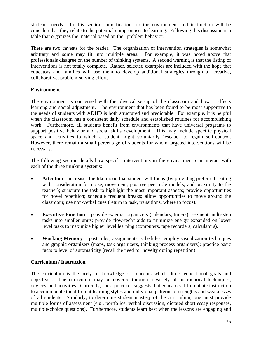student's needs. In this section, modifications to the environment and instruction will be considered as they relate to the potential compromises to learning. Following this discussion is a table that organizes the material based on the "problem behavior."

There are two caveats for the reader. The organization of intervention strategies is somewhat arbitrary and some may fit into multiple areas. For example, it was noted above that professionals disagree on the number of thinking systems. A second warning is that the listing of interventions is not totally complete. Rather, selected examples are included with the hope that educators and families will use them to develop additional strategies through a creative, collaborative, problem-solving effort.

#### **Environment**

The environment is concerned with the physical set-up of the classroom and how it affects learning and social adjustment. The environment that has been found to be most supportive to the needs of students with ADHD is both structured and predictable. For example, it is helpful when the classroom has a consistent daily schedule and established routines for accomplishing work. Furthermore, all students benefit from environments that have universal programs to support positive behavior and social skills development. This may include specific physical space and activities to which a student might voluntarily "escape" to regain self-control. However, there remain a small percentage of students for whom targeted interventions will be necessary.

The following section details how specific interventions in the environment can interact with each of the three thinking systems:

- **Attention** increases the likelihood that student will focus (by providing preferred seating with consideration for noise, movement, positive peer role models, and proximity to the teacher); structure the task to highlight the most important aspects; provide opportunities for novel repetition; schedule frequent breaks; allow opportunities to move around the classroom; use non-verbal cues (return to task, transitions, where to focus).
- **Executive Function** provide external organizers (calendars, timers); segment multi-step tasks into smaller units; provide "low-tech" aids to minimize energy expanded on lower level tasks to maximize higher level learning (computers, tape recorders, calculators).
- **Working Memory** post rules, assignments, schedules; employ visualization techniques and graphic organizers (maps, task organizers, thinking process organizers); practice basic facts to level of automaticity (recall the need for novelty during repetition).

#### **Curriculum / Instruction**

The curriculum is the body of knowledge or concepts which direct educational goals and objectives. The curriculum may be covered through a variety of instructional techniques, devices, and activities. Currently, "best practice" suggests that educators differentiate instruction to accommodate the different learning styles and individual patterns of strengths and weaknesses of all students. Similarly, to determine student mastery of the curriculum, one must provide multiple forms of assessment (e.g., portfolios, verbal discussion, dictated short essay responses, multiple-choice questions). Furthermore, students learn best when the lessons are engaging and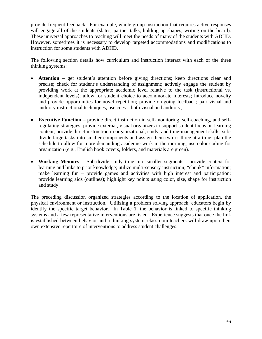provide frequent feedback. For example, whole group instruction that requires active responses will engage all of the students (slates, partner talks, holding up shapes, writing on the board). These universal approaches to teaching will meet the needs of many of the students with ADHD. However, sometimes it is necessary to develop targeted accommodations and modifications to instruction for some students with ADHD.

The following section details how curriculum and instruction interact with each of the three thinking systems:

- **Attention** get student's attention before giving directions; keep directions clear and precise; check for student's understanding of assignment; actively engage the student by providing work at the appropriate academic level relative to the task (instructional vs. independent levels); allow for student choice to accommodate interests; introduce novelty and provide opportunities for novel repetition; provide on-going feedback; pair visual and auditory instructional techniques; use cues – both visual and auditory;
- **Executive Function** provide direct instruction in self-monitoring, self-coaching, and selfregulating strategies; provide external, visual organizers to support student focus on learning content; provide direct instruction in organizational, study, and time-management skills; subdivide large tasks into smaller components and assign them two or three at a time; plan the schedule to allow for more demanding academic work in the morning; use color coding for organization (e.g., English book covers, folders, and materials are green).
- **Working Memory** Sub-divide study time into smaller segments; provide context for learning and links to prior knowledge; utilize multi-sensory instruction; "chunk" information; make learning fun – provide games and activities with high interest and participation; provide learning aids (outlines); highlight key points using color, size, shape for instruction and study.

The preceding discussion organized strategies according to the location of application, the physical environment or instruction. Utilizing a problem solving approach, educators begin by identify the specific target behavior. In Table 1, the behavior is linked to specific thinking systems and a few representative interventions are listed. Experience suggests that once the link is established between behavior and a thinking system, classroom teachers will draw upon their own extensive repertoire of interventions to address student challenges.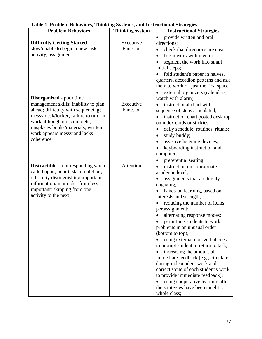| <b>Problem Behaviors</b>                                                                                                                                                                                                                                                   | <b>Thinking system</b> | <b>Instructional Strategies</b>                                                                                                                                                                                                                                                                                                                                                                                                                                                                                                                                                                                                                                                                                |
|----------------------------------------------------------------------------------------------------------------------------------------------------------------------------------------------------------------------------------------------------------------------------|------------------------|----------------------------------------------------------------------------------------------------------------------------------------------------------------------------------------------------------------------------------------------------------------------------------------------------------------------------------------------------------------------------------------------------------------------------------------------------------------------------------------------------------------------------------------------------------------------------------------------------------------------------------------------------------------------------------------------------------------|
| <b>Difficulty Getting Started -</b><br>slow/unable to begin a new task,<br>activity, assignment                                                                                                                                                                            | Executive<br>Function  | provide written and oral<br>directions;<br>check that directions are clear;<br>$\bullet$<br>begin work with mentor;<br>segment the work into small<br>initial steps;<br>fold student's paper in halves,<br>$\bullet$<br>quarters, accordion patterns and ask<br>them to work on just the first space                                                                                                                                                                                                                                                                                                                                                                                                           |
| <b>Disorganized</b> - poor time<br>management skills; inability to plan<br>ahead; difficulty with sequencing;<br>messy desk/locker; failure to turn-in<br>work although it is complete;<br>misplaces books/materials; written<br>work appears messy and lacks<br>coherence | Executive<br>Function  | external organizers (calendars,<br>watch with alarm);<br>instructional chart with<br>sequence of steps articulated;<br>instruction chart posted desk top<br>on index cards or stickies;<br>daily schedule, routines, rituals;<br>$\bullet$<br>study buddy;<br>assistive listening devices;<br>$\bullet$<br>keyboarding instruction and<br>computer;                                                                                                                                                                                                                                                                                                                                                            |
| <b>Distractible</b> - not responding when<br>called upon; poor task completion;<br>difficulty distinguishing important<br>information/main idea from less<br>important; skipping from one<br>activity to the next                                                          | Attention              | preferential seating;<br>$\bullet$<br>instruction on appropriate<br>academic level;<br>assignments that are highly<br>engaging;<br>hands-on learning, based on<br>interests and strength;<br>reducing the number of items<br>per assignment;<br>alternating response modes;<br>permitting students to work<br>problems in an unusual order<br>(bottom to top);<br>using external non-verbal cues<br>to prompt student to return to task;<br>increasing the amount of<br>immediate feedback (e.g., circulate<br>during independent work and<br>correct some of each student's work<br>to provide immediate feedback);<br>using cooperative learning after<br>the strategies have been taught to<br>whole class; |

### **Table 1 Problem Behaviors, Thinking Systems, and Instructional Strategies**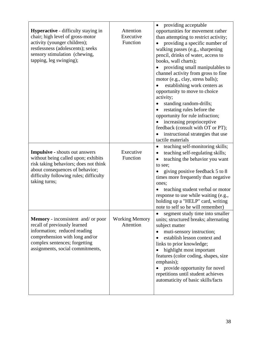| <b>Hyperactive</b> - difficulty staying in<br>chair; high level of gross-motor<br>activity (younger children);<br>restlessness (adolescents); seeks<br>sensory stimulation (chewing,<br>tapping, leg swinging);     | Attention<br>Executive<br>Function | providing acceptable<br>opportunities for movement rather<br>than attempting to restrict activity;<br>providing a specific number of<br>walking passes (e.g., sharpening<br>pencil, drinks of water, access to<br>books, wall charts);<br>providing small manipulables to<br>channel activity from gross to fine<br>motor (e.g., clay, stress balls);<br>establishing work centers as<br>opportunity to move to choice<br>activity;<br>standing random-drills;<br>restating rules before the<br>opportunity for rule infraction;<br>increasing proprioceptive<br>feedback (consult with OT or PT);<br>instructional strategies that use<br>tactile materials |
|---------------------------------------------------------------------------------------------------------------------------------------------------------------------------------------------------------------------|------------------------------------|--------------------------------------------------------------------------------------------------------------------------------------------------------------------------------------------------------------------------------------------------------------------------------------------------------------------------------------------------------------------------------------------------------------------------------------------------------------------------------------------------------------------------------------------------------------------------------------------------------------------------------------------------------------|
| <b>Impulsive - shouts out answers</b><br>without being called upon; exhibits<br>risk taking behaviors; does not think<br>about consequences of behavior;<br>difficulty following rules; difficulty<br>taking turns; | Executive<br>Function              | teaching self-monitoring skills;<br>$\bullet$<br>teaching self-regulating skills;<br>teaching the behavior you want<br>$\bullet$<br>to see;<br>giving positive feedback 5 to 8<br>times more frequently than negative<br>ones:<br>teaching student verbal or motor<br>response to use while waiting (e.g.,<br>holding up a "HELP" card, writing<br>note to self so he will remember)                                                                                                                                                                                                                                                                         |
| <b>Memory</b> - inconsistent and/ or poor<br>recall of previously learned<br>information; reduced reading<br>comprehension with long and/or<br>complex sentences; forgetting<br>assignments, social commitments,    | <b>Working Memory</b><br>Attention | segment study time into smaller<br>units; structured breaks; alternating<br>subject matter<br>muti-sensory instruction;<br>establish lesson context and<br>links to prior knowledge;<br>highlight most important<br>features (color coding, shapes, size<br>emphasis);<br>provide opportunity for novel<br>repetitions until student achieves<br>automaticity of basic skills/facts                                                                                                                                                                                                                                                                          |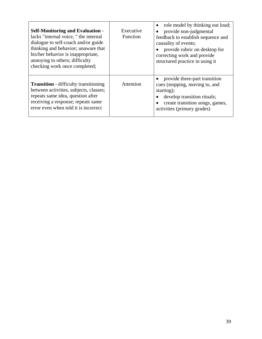| <b>Self-Monitoring and Evaluation -</b><br>lacks "internal voice," the internal<br>dialogue to self-coach and/or guide<br>thinking and behavior; unaware that<br>his/her behavior is inappropriate,<br>annoying to others; difficulty<br>checking work once completed; | Executive<br><b>Function</b> | role model by thinking out loud;<br>provide non-judgmental<br>feedback to establish sequence and<br>causality of events;<br>provide rubric on desktop for<br>correcting work and provide<br>structured practice in using it |
|------------------------------------------------------------------------------------------------------------------------------------------------------------------------------------------------------------------------------------------------------------------------|------------------------------|-----------------------------------------------------------------------------------------------------------------------------------------------------------------------------------------------------------------------------|
| <b>Transition - difficulty transitioning</b><br>between activities, subjects, classes;<br>repeats same idea, question after<br>receiving a response; repeats same<br>error even when told it is incorrect                                                              | Attention                    | provide three-part transition<br>cues (stopping, moving to, and<br>starting);<br>develop transition rituals;<br>create transition songs, games,<br>activities (primary grades)                                              |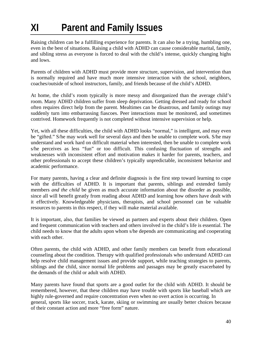# **XI Parent and Family Issues**

Raising children can be a fulfilling experience for parents. It can also be a trying, humbling one, even in the best of situations. Raising a child with ADHD can cause considerable marital, family, and sibling stress as everyone is forced to deal with the child's intense, quickly changing highs and lows.

Parents of children with ADHD must provide more structure, supervision, and intervention than is normally required and have much more intensive interaction with the school, neighbors, coaches/outside of school instructors, family, and friends because of the child's ADHD.

At home, the child's room typically is more messy and disorganized than the average child's room. Many ADHD children suffer from sleep deprivation. Getting dressed and ready for school often requires direct help from the parent. Mealtimes can be disastrous, and family outings may suddenly turn into embarrassing fiascoes. Peer interactions must be monitored, and sometimes contrived. Homework frequently is not completed without intensive supervision or help.

Yet, with all these difficulties, the child with ADHD looks "normal," is intelligent, and may even be "gifted." S/he may work well for several days and then be unable to complete work. S/he may understand and work hard on difficult material when interested, then be unable to complete work s/he perceives as less "fun" or too difficult. This confusing fluctuation of strengths and weaknesses with inconsistent effort and motivation makes it harder for parents, teachers, and other professionals to accept these children's typically unpredictable, inconsistent behavior and academic performance.

For many parents, having a clear and definite diagnosis is the first step toward learning to cope with the difficulties of ADHD. It is important that parents, siblings and extended family members *and the child* be given as much accurate information about the disorder as possible, since all will benefit greatly from reading about ADHD and learning how others have dealt with it effectively. Knowledgeable physicians, therapists, and school personnel can be valuable resources to parents in this respect, if they will make material available.

It is important, also, that families be viewed as partners and experts about their children. Open and frequent communication with teachers and others involved in the child's life is essential. The child needs to know that the adults upon whom s/he depends are communicating and cooperating with each other.

Often parents, the child with ADHD, and other family members can benefit from educational counseling about the condition. Therapy with qualified professionals who understand ADHD can help resolve child management issues and provide support, while teaching strategies to parents, siblings and the child, since normal life problems and passages may be greatly exacerbated by the demands of the child or adult with ADHD.

Many parents have found that sports are a good outlet for the child with ADHD. It should be remembered, however, that these children may have trouble with sports like baseball which are highly rule-governed and require concentration even when no overt action is occurring. In general, sports like soccer, track, karate, skiing or swimming are usually better choices because of their constant action and more "free form" nature.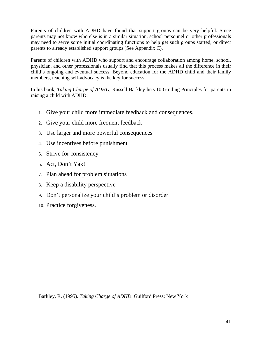Parents of children with ADHD have found that support groups can be very helpful. Since parents may not know who else is in a similar situation, school personnel or other professionals may need to serve some initial coordinating functions to help get such groups started, or direct parents to already established support groups (See Appendix C).

Parents of children with ADHD who support and encourage collaboration among home, school, physician, and other professionals usually find that this process makes all the difference in their child's ongoing and eventual success. Beyond education for the ADHD child and their family members, teaching self-advocacy is the key for success.

In his book, *Taking Charge of ADHD,* Russell Barkley lists 10 Guiding Principles for parents in raising a child with ADHD:

- 1. Give your child more immediate feedback and consequences.
- 2. Give your child more frequent feedback
- 3. Use larger and more powerful consequences
- 4. Use incentives before punishment
- 5. Strive for consistency
- 6. Act, Don't Yak!
- 7. Plan ahead for problem situations
- 8. Keep a disability perspective
- 9. Don't personalize your child's problem or disorder
- 10. Practice forgiveness.

Barkley, R. (1995). *Taking Charge of ADHD*. Guilford Press: New York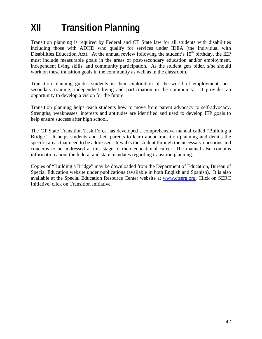# **XII Transition Planning**

Transition planning is required by Federal and CT State law for all students with disabilities including those with ADHD who qualify for services under IDEA (the Individual with Disabilities Education Act). At the annual review following the student's  $15<sup>th</sup>$  birthday, the IEP must include measurable goals in the areas of post-secondary education and/or employment, independent living skills, and community participation. As the student gets older, s/he should work on these transition goals in the community as well as in the classroom.

Transition planning guides students in their exploration of the world of employment, post secondary training, independent living and participation in the community. It provides an opportunity to develop a vision for the future.

Transition planning helps teach students how to move from parent advocacy to self-advocacy. Strengths, weaknesses, interests and aptitudes are identified and used to develop IEP goals to help ensure success after high school.

The CT State Transition Task Force has developed a comprehensive manual called "Building a Bridge." It helps students and their parents to learn about transition planning and details the specific areas that need to be addressed. It walks the student through the necessary questions and concerns to be addressed at this stage of their educational career. The manual also contains information about the federal and state mandates regarding transition planning.

Copies of "Building a Bridge" may be downloaded from the Department of Education, Bureau of Special Education website under publications (available in both English and Spanish). It is also available at the Special Education Resource Center website at www.ctserg.org. Click on SERC Initiative, click on Transition Initiative.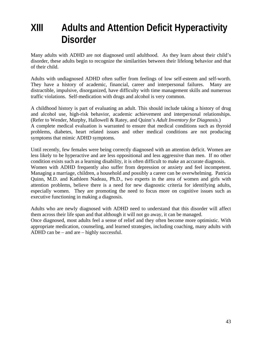## **XIII Adults and Attention Deficit Hyperactivity Disorder**

Many adults with ADHD are not diagnosed until adulthood. As they learn about their child's disorder, these adults begin to recognize the similarities between their lifelong behavior and that of their child.

Adults with undiagnosed ADHD often suffer from feelings of low self-esteem and self-worth. They have a history of academic, financial, career and interpersonal failures. Many are distractible, impulsive, disorganized, have difficulty with time management skills and numerous traffic violations. Self-medication with drugs and alcohol is very common.

A childhood history is part of evaluating an adult. This should include taking a history of drug and alcohol use, high-risk behavior, academic achievement and interpersonal relationships. (Refer to Wender, Murphy, Hallowell & Ratey, and Quinn's *Adult Inventory for Diagnosis*.) A complete medical evaluation is warranted to ensure that medical conditions such as thyroid problems, diabetes, heart related issues and other medical conditions are not producing symptoms that mimic ADHD symptoms.

Until recently, few females were being correctly diagnosed with an attention deficit. Women are less likely to be hyperactive and are less oppositional and less aggressive than men. If no other condition exists such as a learning disability, it is often difficult to make an accurate diagnosis. Women with ADHD frequently also suffer from depression or anxiety and feel incompetent. Managing a marriage, children, a household and possibly a career can be overwhelming. Patricia Quinn, M.D. and Kathleen Nadeau, Ph.D., two experts in the area of women and girls with attention problems, believe there is a need for new diagnostic criteria for identifying adults, especially women. They are promoting the need to focus more on cognitive issues such as executive functioning in making a diagnosis.

Adults who are newly diagnosed with ADHD need to understand that this disorder will affect them across their life span and that although it will not go away, it can be managed.

Once diagnosed, most adults feel a sense of relief and they often become more optimistic. With appropriate medication, counseling, and learned strategies, including coaching, many adults with ADHD can be – and are – highly successful.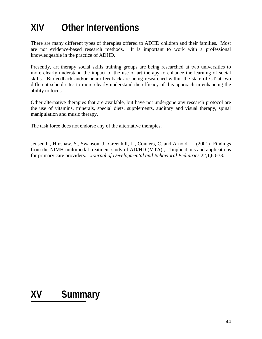# **XIV Other Interventions**

There are many different types of therapies offered to ADHD children and their families. Most are not evidence-based research methods. It is important to work with a professional knowledgeable in the practice of ADHD.

Presently, art therapy social skills training groups are being researched at two universities to more clearly understand the impact of the use of art therapy to enhance the learning of social skills. Biofeedback and/or neuro-feedback are being researched within the state of CT at two different school sites to more clearly understand the efficacy of this approach in enhancing the ability to focus.

Other alternative therapies that are available, but have not undergone any research protocol are the use of vitamins, minerals, special diets, supplements, auditory and visual therapy, spinal manipulation and music therapy.

The task force does not endorse any of the alternative therapies.

Jensen,P., Hinshaw, S., Swanson, J., Greenhill, L., Conners, C. and Arnold, L. (2001) 'Findings from the NIMH multimodal treatment study of AD/HD (MTA) ; 'Implications and applications for primary care providers.' *Journal of Developmental and Behavioral Pediatrics* 22,1,60-73.

# **XV Summary**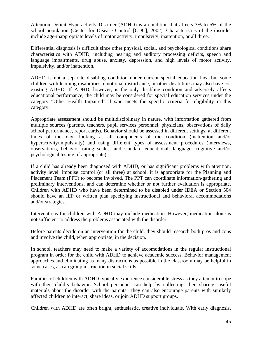Attention Deficit Hyperactivity Disorder (ADHD) is a condition that affects 3% to 5% of the school population (Center for Disease Control [CDC], 2002). Characteristics of the disorder include age-inappropriate levels of motor activity, impulsivity, inattention, or all three.

Differential diagnosis is difficult since other physical, social, and psychological conditions share characteristics with ADHD, including hearing and auditory processing deficits, speech and language impairments, drug abuse, anxiety, depression, and high levels of motor activity, impulsivity, and/or inattention.

ADHD is not a separate disabling condition under current special education law, but some children with learning disabilities, emotional disturbance, or other disabilities may also have coexisting ADHD. If ADHD, however, is the only disabling condition and adversely affects educational performance, the child may be considered for special education services under the category "Other Health Impaired" if s/he meets the specific criteria for eligibility in this category.

Appropriate assessment should be multidisciplinary in nature, with information gathered from multiple sources (parents, teachers, pupil services personnel, physicians, observations of daily school performance, report cards). Behavior should be assessed in different settings, at different times of the day, looking at all components of the condition (inattention and/or hyperactivity/impulsivity) and using different types of assessment procedures (interviews, observations, behavior rating scales, and standard educational, language, cognitive and/or psychological testing, if appropriate).

If a child has already been diagnosed with ADHD, or has significant problems with attention, activity level, impulse control (or all three) at school, it is appropriate for the Planning and Placement Team (PPT) to become involved. The PPT can coordinate information-gathering and preliminary interventions, and can determine whether or not further evaluation is appropriate. Children with ADHD who have been determined to be disabled under IDEA or Section 504 should have an IEP or written plan specifying instructional and behavioral accommodations and/or strategies.

Interventions for children with ADHD may include medication. However, medication alone is not sufficient to address the problems associated with the disorder.

Before parents decide on an intervention for the child, they should research both pros and cons and involve the child, when appropriate, in the decision.

In school, teachers may need to make a variety of accomodations in the regular instructional program in order for the child with ADHD to achieve academic success. Behavior management approaches and eliminating as many distractions as possible in the classroom may be helpful in some cases, as can group instruction in social skills.

Families of children with ADHD typically experience considerable stress as they attempt to cope with their child's behavior. School personnel can help by collecting, then sharing, useful materials about the disorder with the parents. They can also encourage parents with similarly affected children to interact, share ideas, or join ADHD support groups.

Children with ADHD are often bright, enthusiastic, creative individuals. With early diagnosis,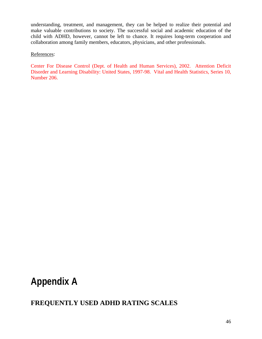understanding, treatment, and management, they can be helped to realize their potential and make valuable contributions to society. The successful social and academic education of the child with ADHD, however, cannot be left to chance. It requires long-term cooperation and collaboration among family members, educators, physicians, and other professionals.

#### References:

Center For Disease Control (Dept. of Health and Human Services), 2002. Attention Deficit Disorder and Learning Disability: United States, 1997-98. Vital and Health Statistics, Series 10, Number 206.

## **Appendix A**

## **FREQUENTLY USED ADHD RATING SCALES**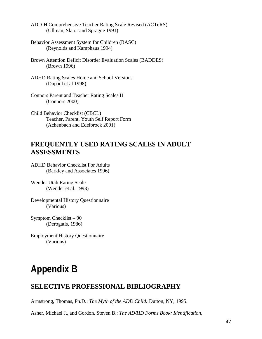ADD-H Comprehensive Teacher Rating Scale Revised (ACTeRS) (Ullman, Slator and Sprague 1991)

- Behavior Assessment System for Children (BASC) (Reynolds and Kamphaus 1994)
- Brown Attention Deficit Disorder Evaluation Scales (BADDES) (Brown 1996)
- ADHD Rating Scales Home and School Versions (Dupaul et al 1998)
- Connors Parent and Teacher Rating Scales II (Connors 2000)
- Child Behavior Checklist (CBCL) Teacher, Parent, Youth Self Report Form (Achenbach and Edelbrock 2001)

## **FREQUENTLY USED RATING SCALES IN ADULT ASSESSMENTS**

ADHD Behavior Checklist For Adults (Barkley and Associates 1996)

Wender Utah Rating Scale (Wender et.al. 1993)

Developmental History Questionnaire (Various)

Symptom Checklist – 90 (Derogatis, 1986)

Employment History Questionnaire (Various)

## **Appendix B**

## **SELECTIVE PROFESSIONAL BIBLIOGRAPHY**

Armstrong, Thomas, Ph.D.: *The Myth of the ADD Child:* Dutton, NY; 1995.

Asher, Michael J., and Gordon, Steven B.: *The AD/HD Forms Book: Identification,*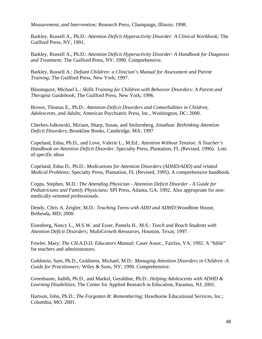*Measurement, and Intervention;* Research Press, Champaign, Illinois; 1998.

Barkley, Russell A., Ph.D.: *Attention Deficit Hyperactivity Disorder: A Clinical Workbook;* The Guilford Press, NY; 1991.

Barkley, Russell A., Ph.D.: *Attention Deficit Hyperactivity Disorder: A Handbook for Diagnosis and Treatment;* The Guilford Press, NY; 1990. Comprehensive.

Barkley, Russell A.: *Defiant Children: a Clinician's Manual for Assessment and Parent Training*; The Guilford Press, New York; 1997.

Bloomquist, Michael L.: *Skills Training for Children with Behavior Disorders: A Parent and Therapist Guidebook*; The Guilford Press, New York; 1996.

Brown, Thomas E., Ph.D.: *Attention-Deficit Disorders and Comorbidities in Children, Adolescents, and Adults*; American Psychiatric Press, Inc., Washington, DC; 2000.

Cherkes-Julkowski, Miriam, Sharp, Susan, and Stolzenberg, Jonathan: *Rethinking Attention Deficit Disorders*; Brookline Books, Cambridge, MA; 1997

Copeland, Edna, Ph.D., and Love, Valerie L., M.Ed.: *Attention Without Tension: A Teacher's Handbook on Attention Deficit Disorder.* Specialty Press, Plantation, FL (Revised, 1996). Lots of specific ideas

Copeland, Edna D., Ph.D.: *Medications for Attention Disorders (ADHD/ADD) and related Medical Problems;* Specialty Press, Plantation, FL (Revised, 1995). A comprehensive handbook.

Copps, Stephen, M.D.: *The Attending Physician - Attention Deficit Disorder - A Guide for Pediatricians and Family Physicians;* SPI Press, Atlanta, GA; 1992. Also appropriate for nonmedically-oriented professionals.

Dendy, Chris A. Zeigler, M.D.: *Teaching Teens with ADD and ADHD;*Woodbine House, Bethesda, MD; 2000.

Eisenberg, Nancy L., M.S.W. and Esser, Pamela H., M.S.: *Teach and Reach Students with Attention Deficit Disorders;* MultiGrowth Resources, Houston, Texas; 1997.

Fowler, Mary: *The CH.A.D.D. Educators Manual;* Caset Assoc., Fairfax, VA; 1992. A "bible" for teachers and administrators.

Goldstein, Sam, Ph.D., Goldstein, Michael, M.D.: *Managing Attention Disorders in Children -A Guide for Practitioners;* Wiley & Sons, NY; 1990. Comprehensive.

Greenbaum, Judith, Ph.D., and Markel, Geraldine, Ph.D.: *Helping Adolescents with ADHD & Learning Disabilities*; The Center for Applied Research in Education, Paramus, NJ; 2001.

Hartson, John, Ph.D.: *The Forgotten R: Remembering*; Hawthorne Educational Services, Inc.; Columbia, MO. 2001.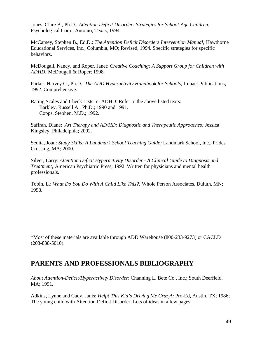Jones, Clare B., Ph.D.: *Attention Deficit Disorder: Strategies for School-Age Children;* Psychological Corp., Antonio, Texas, 1994.

McCamey, Stephen B., Ed.D.: *The Attention Deficit Disorders Intervention Manual;* Hawthorne Educational Services, Inc., Columbia, MO; Revised, 1994. Specific strategies for specific behaviors.

McDougall, Nancy, and Roper, Janet: *Creative Coaching: A Support Group for Children with ADHD;* McDougall & Roper; 1998.

Parker, Harvey C., Ph.D.: *The ADD Hyperactivity Handbook for Schools;* Impact Publications; 1992. Comprehensive.

Rating Scales and Check Lists re: ADHD: Refer to the above listed texts: Barkley, Russell A., Ph.D.; 1990 and 1991. Copps, Stephen, M.D.; 1992.

Saffran, Diane: *Art Therapy and AD/HD: Diagnostic and Therapeutic Approaches;* Jessica Kingsley; Philadelphia; 2002.

Sedita, Joan: *Study Skills: A Landmark School Teaching Guide;* Landmark School, Inc., Prides Crossing, MA; 2000.

Silver, Larry: *Attention Deficit Hyperactivity Disorder - A Clinical Guide to Diagnosis and Treatment;* American Psychiatric Press; 1992. Written for physicians and mental health professionals.

Tobin, L.: *What Do You Do With A Child Like This?;* Whole Person Associates, Duluth, MN; 1998.

\*Most of these materials are available through ADD Warehouse (800-233-9273) or CACLD (203-838-5010).

## **PARENTS AND PROFESSIONALS BIBLIOGRAPHY**

*About Attention-Deficit/Hyperactivity Disorder*: Channing L. Bete Co., Inc.; South Deerfield, MA; 1991.

Adkins, Lynne and Cady, Janis: *Help! This Kid's Driving Me Crazy!;* Pro-Ed, Austin, TX; 1986; The young child with Attention Deficit Disorder. Lots of ideas in a few pages.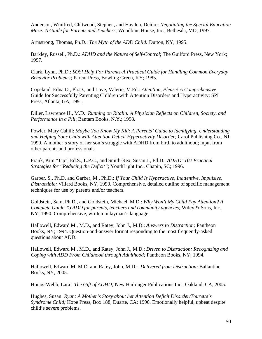Anderson, Winifred, Chitwood, Stephen, and Hayden, Deidre: *Negotiating the Special Education Maze: A Guide for Parents and Teachers*; Woodbine House, Inc., Bethesda, MD; 1997.

Armstrong, Thomas, Ph.D.: *The Myth of the ADD Child:* Dutton, NY; 1995.

Barkley, Russell, Ph.D.: *ADHD and the Nature of Self-Control*; The Guilford Press, New York; 1997.

Clark, Lynn, Ph.D.: *SOS! Help For Parents-A Practical Guide for Handling Common Everyday Behavior Problems;* Parent Press, Bowling Green, KY; 1985.

Copeland, Edna D., Ph.D., and Love, Valerie, M.Ed.: *Attention, Please! A Comprehensive*  Guide for Successfully Parenting Children with Attention Disorders and Hyperactivity; SPI Press, Atlanta, GA, 1991.

Diller, Lawrence H., M.D.: *Running on Ritalin: A Physician Reflects on Children, Society, and Performance in a Pill*; Bantam Books, N.Y.; 1998.

Fowler, Mary Cahill: *Maybe You Know My Kid: A Parents' Guide to Identifying, Understanding and Helping Your Child with Attention Deficit Hyperactivity Disorder;* Carol Publishing Co., NJ; 1990. A mother's story of her son's struggle with ADHD from birth to adulthood; input from other parents and professionals.

Frank, Kim "Tip", Ed.S., L.P.C., and Smith-Rex, Susan J., Ed.D.: *ADHD: 102 Practical Strategies for "Reducing the Deficit"*; YouthLight Inc., Chapin, SC; 1996.

Garber, S., Ph.D. and Garber, M., Ph.D.: *If Your Child Is Hyperactive, Inattentive, Impulsive, Distractible;* Villard Books, NY, 1990. Comprehensive, detailed outline of specific management techniques for use by parents and/or teachers.

Goldstein, Sam, Ph.D., and Goldstein, Michael, M.D.: *Why Won't My Child Pay Attention? A Complete Guide To ADD for parents, teachers and community agencies;* Wiley & Sons, Inc., NY; 1990. Comprehensive, written in layman's language.

Hallowell, Edward M., M.D., and Ratey, John J., M.D.: *Answers to Distraction;* Pantheon Books, NY; 1994. Question-and-answer format responding to the most frequently-asked questions about ADD.

Hallowell, Edward M., M.D., and Ratey, John J., M.D.: *Driven to Distraction: Recognizing and Coping with ADD From Childhood through Adulthood;* Pantheon Books, NY; 1994.

Hallowell, Edward M. M.D. and Ratey, John, M.D.: *Delivered from Distraction;* Ballantine Books, NY, 2005.

Honos-Webb, Lara: *The Gift of ADHD;* New Harbinger Publications Inc., Oakland, CA, 2005.

Hughes, Susan: *Ryan: A Mother's Story about her Attention Deficit Disorder/Tourette's Syndrome Child;* Hope Press, Box 188, Duarte, CA; 1990. Emotionally helpful, upbeat despite child's severe problems.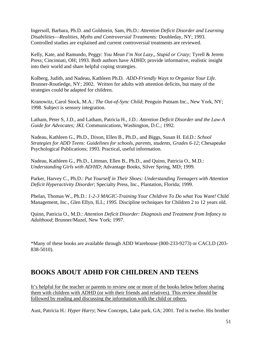Ingersoll, Barbara, Ph.D. and Goldstein, Sam, Ph.D.: *Attention Deficit Disorder and Learning Disabilities*⎯*Realities, Myths and Controversial Treatments:* Doubleday, NY; 1993. Controlled studies are explained and current controversial treatments are reviewed.

Kelly, Kate, and Ramundo, Peggy: *You Mean I'm Not Lazy,, Stupid or Crazy;* Tyrell & Jerem Press; Cincinnati, OH; 1993. Both authors have ADHD; provide informative, realistic insight into their world and share helpful coping strategies.

Kolberg, Judith, and Nadeau, Kathleen Ph.D. *ADD-Friendly Ways to Organize Your Life.* Brunner-Routledge, NY; 2002. Written for adults with attention deficits, but many of the strategies could be adapted for children.

Kranowitz, Carol Stock, M.A.: *The Out-of-Sync Child*; Penguin Putnam Inc., New York, NY; 1998. Subject is sensory integration.

Latham, Peter S, J.D., and Latham, Patricia H., J.D.: *Attention Deficit Disorder and the Law-A Guide for Advocates; JKL* Communications, Washington, D.C.; 1992.

Nadeau, Kathleen G., Ph.D., Dixon, Ellen B., Ph.D., and Biggs, Susan H. Ed.D.: *School Strategies for ADD Teens: Guidelines for schools, parents, students, Grades 6-12*; Chesapeake Psychological Publications; 1993. Practical, useful information.

Nadeau, Kathleen G., Ph.D., Littman, Ellen B., Ph.D., and Quinn, Patricia O., M.D.: *Understanding Girls with AD/HD*; Advantage Books, Silver Spring, MD; 1999.

Parker, Harvey C., Ph.D.: *Put Yourself in Their Shoes: Understanding Teenagers with Attention Deficit Hyperactivity Disorder*; Specialty Press, Inc., Plantation, Florida; 1999.

Phelan, Thomas W., Ph.D.: *1-2-3 MAGIC-Training Your Children To Do what You Want!* Child Management, Inc., Glen Ellyn, ILL; *1995.* Discipline techniques for Children 2 to 12 years old.

Quinn, Patricia O., M.D.: *Attention Deficit Disorder: Diagnosis and Treatment from Infancy to Adulthood*; Brunner/Mazel, New York; 1997.

\*Many of these books are available through ADD Warehouse (800-233-9273) or CACLD (203- 838-5010).

## **BOOKS ABOUT ADHD FOR CHILDREN AND TEENS**

It's helpful for the teacher or parents to review one or more of the books below before sharing them with children with ADHD (or with their friends and relatives). This review should be followed by reading and discussing the information with the child or others.

Aust, Patricia H.: *Hyper Harry*; New Concepts, Lake park, GA; 2001. Ted is twelve. His brother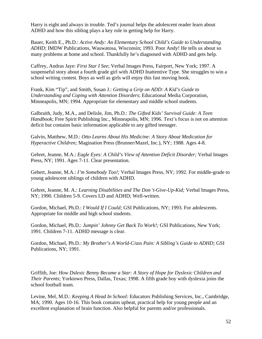Harry is eight and always in trouble. Ted's journal helps the adolescent reader learn about ADHD and how this sibling plays a key role in getting help for Harry.

Bauer, Keith E., Ph.D.: *Active Andy: An Elementary School Child's Guide to Understanding ADHD*; IMDW Publications, Wauwatosa, Wisconsin; 1993. Poor Andy! He tells us about so many problems at home and school. Thankfully he's diagnosed with ADHD and gets help.

Caffrey, Andras Jaye: *First Star I See*; Verbal Images Press, Fairport, New York; 1997. A suspenseful story about a fourth grade girl with ADHD Inattentive Type. She struggles to win a school writing contest. Boys as well as girls will enjoy this fast moving book.

Frank, Kim "Tip", and Smith, Susan J.: *Getting a Grip on ADD: A Kid's Guide to Understanding and Coping with Attention Disorders*; Educational Media Corporation, Minneapolis, MN; 1994. Appropriate for elementary and middle school students.

Galbraith, Judy, M.A., and Delisle, Jim, Ph.D.: *The Gifted Kids' Survival Guide: A Teen Handbook*; Free Spirit Publishing Inc., Minneapolis, MN; 1996. Text's focus is not on attention deficit but contains basic information applicable to any gifted teenager.

Galvin, Matthew, M.D.: *Otto Learns About His Medicine: A Story About Medication for Hyperactive Children;* Magination Press (Brunner/Mazel, Inc.), NY; 1988. Ages 4-8.

Gehret, Jeanne, M.A.: *Eagle Eyes: A Child's View of Attention Deficit Disorder;* Verbal Images Press, NY; 1991. Ages 7-11. Clear presentation.

Gehert, Jeanne, M.A.: *I'm Somebody Too!;* Verbal Images Press, NY; 1992. For middle-grade to young adolescent siblings of children with ADHD.

Gehret, Jeanne, M. A.: *Learning Disabilities and The Don 't-Give-Up-Kid;* Verbal Images Press, NY; 1990. Children 5-9. Covers LD and ADHD; Well-written.

Gordon, Michael, Ph.D.: *I Would If I Could;* GSI Publications, NY; 1993. For adolescents. Appropriate for middle and high school students.

Gordon, Michael, Ph.D.: *Jumpin' Johnny Get Back To Work!;* GSI Publications, New York; 1991. Children 7-11. ADHD message is clear.

Gordon, Michael, Ph.D.: *My Brother's A World-C/ass Pain: A Sibling's Guide to ADHD;* GSI Publications, NY; 1991.

Griffith, Joe: *How Dslexic Benny Became a Star: A Story of Hope for Dyslexic Children and Their Parents*; Yorktown Press, Dallas, Texas; 1998. A fifth grade boy with dyslexia joins the school football team.

Levine, Mel, M.D.: *Keeping A Head In School:* Educators Publishing Services, Inc., Cambridge, MA; 1990. Ages 10-16. This book contains upbeat, practical help for young people and an excellent explanation of brain function. Also helpful for parents and/or professionals.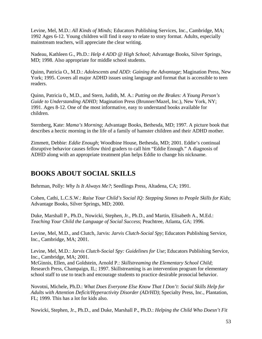Levine, Mel, M.D.: *All Kinds of Minds;* Educators Publishing Services, Inc., Cambridge, MA; 1992 Ages 6-12. Young children will find it easy to relate to story format. Adults, especially mainstream teachers, will appreciate the clear writing.

Nadeau, Kathleen G., Ph.D.: *Help 4 ADD @ High School*; Advantage Books, Silver Springs, MD; 1998. Also appropriate for middle school students.

Quinn, Patricia O., M.D.: *Adolescents and ADD: Gaining the Advantage*; Magination Press, New York; 1995. Covers all major ADHD issues using language and format that is accessible to teen readers.

Quinn, Patricia 0., M.D., and Stern, Judith, M. A.: *Putting on the Brakes: A Young Person's Guide to Understanding ADHD;* Magination Press (Brunner/Mazel, Inc.), New York, NY; 1991. Ages 8-12. One of the most informative, easy to understand books available for children.

Sternberg, Kate: *Mama's Morning*; Advantage Books, Bethesda, MD; 1997. A picture book that describes a hectic morning in the life of a family of hamster children and their ADHD mother.

Zimmett, Debbie: *Eddie Enough*; Woodbine House, Bethesda, MD; 2001. Eddie's continual disruptive behavior causes fellow third graders to call him "Eddie Enough." A diagnosis of ADHD along with an appropriate treatment plan helps Eddie to change his nickname.

## **BOOKS ABOUT SOCIAL SKILLS**

Behrman, Polly: *Why Is It Always Me?*; Seedlings Press, Altadena, CA; 1991.

Cohen, Cathi, L.C.S.W.: *Raise Your Child's Social IQ: Stepping Stones to People Skills for Kids*; Advantage Books, Silver Springs, MD; 2000.

Duke, Marshall P., Ph.D., Nowicki, Stephen, Jr., Ph.D., and Martin, Elisabeth A., M.Ed.: *Teaching Your Child the Language of Social Success*; Peachtree, Atlanta, GA; 1996.

Levine, Mel, M.D., and Clutch, Jarvis: *Jarvis Clutch-Social Spy*; Educators Publishing Service, Inc., Cambridge, MA; 2001.

Levine, Mel, M.D.: *Jarvis Clutch-Social Spy: Guidelines for Use*; Educators Publishing Service, Inc., Cambridge, MA; 2001. McGinnis, Ellen, and Goldstein, Arnold P.: *Skillstreaming the Elementary School Child*; Research Press, Champaign, IL; 1997. Skillstreaming is an intervention program for elementary school staff to use to teach and encourage students to practice desirable prosocial behavior.

Novotni, Michele, Ph.D.: *What Does Everyone Else Know That I Don't: Social Skills Help for Adults with Attention Deficit/Hyperactivity Disorder (AD/HD)*; Specialty Press, Inc., Plantation, FL; 1999. This has a lot for kids also.

Nowicki, Stephen, Jr., Ph.D., and Duke, Marshall P., Ph.D.: *Helping the Child Who Doesn't Fit*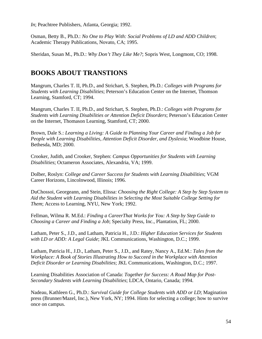*In*; Peachtree Publishers, Atlanta, Georgia; 1992.

Osman, Betty B., Ph.D.: *No One to Play With: Social Problems of LD and ADD Children*; Academic Therapy Publications, Novato, CA; 1995.

Sheridan, Susan M., Ph.D.: *Why Don't They Like Me?*; Sopris West, Longmont, CO; 1998.

## **BOOKS ABOUT TRANSTIONS**

Mangrum, Charles T. II, Ph.D., and Strichart, S. Stephen, Ph.D.: *Colleges with Programs for Students with Learning Disabilities*; Peterson's Education Center on the Internet, Thomson Learning, Stamford, CT; 1994.

Mangrum, Charles T. II, Ph.D., and Strichart, S. Stephen, Ph.D.: *Colleges with Programs for Students with Learning Disabilities or Attention Deficit Disorders*; Peterson's Education Center on the Internet, Thomason Learning, Stamford, CT; 2000.

Brown, Dale S.: *Learning a Living: A Guide to Planning Your Career and Finding a Job for People with Learning Disabilities, Attention Deficit Disorder, and Dyslexia*; Woodbine House, Bethesda, MD; 2000.

Crooker, Judith, and Crooker, Stephen: *Campus Opportunities for Students with Learning Disabilities*; Octameron Associates, Alexandria, VA; 1999.

Dolber, Roslyn: *College and Career Success for Students with Learning Disabilities*; VGM Career Horizons, Lincolnwood, Illinois; 1996.

DuChossoi, Georgeann, and Stein, Elissa: *Choosing the Right College: A Step by Step System to Aid the Student with Learning Disabilities in Selecting the Most Suitable College Setting for Them*; Access to Learning, NYU, New York; 1992.

Fellman, Wilma R. M.Ed.: *Finding a CareerThat Works for You: A Step by Step Guide to Choosing a Career and Finding a Job*; Specialty Press, Inc., Plantation, FL; 2000.

Latham, Peter S., J.D., and Latham, Patricia H., J.D.: *Higher Education Services for Students with LD or ADD: A Legal Guide*; JKL Communications, Washington, D.C.; 1999.

Latham, Patricia H., J.D., Latham, Peter S., J.D., and Ratey, Nancy A., Ed.M.: *Tales from the Workplace: A Book of Stories Illustrating How to Succeed in the Workplace with Attention Deficit Disorder or Learning Disabilities*; JKL Communications, Washington, D.C.; 1997.

Learning Disabilities Association of Canada: *Together for Success: A Road Map for Post-Secondary Students with Learning Disabilities*; LDCA, Ontario, Canada; 1994.

Nadeau, Kathleen G., Ph.D.: *Survival Guide for College Students with ADD or LD*; Magination press (Brunner/Mazel, Inc.), New York, NY; 1994. Hints for selecting a college; how to survive once on campus.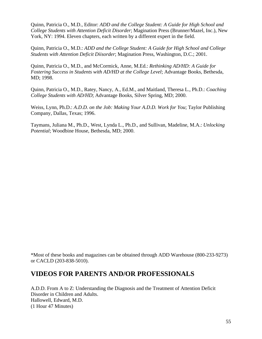Quinn, Patricia O., M.D., Editor: *ADD and the College Student: A Guide for High School and College Students with Attention Deficit Disorder*; Magination Press (Brunner/Mazel, Inc.), New York, NY: 1994. Eleven chapters, each written by a different expert in the field.

Quinn, Patricia O., M.D.: *ADD and the College Student: A Guide for High School and College Students with Attention Deficit Diisorder*; Magination Press, Washington, D.C.; 2001.

Quinn, Patricia O., M.D., and McCormick, Anne, M.Ed.: *Rethinking AD/HD: A Guide for Fostering Success in Students with AD/HD at the College Level*; Advantage Books, Bethesda, MD; 1998.

Quinn, Patricia O., M.D., Ratey, Nancy, A., Ed.M., and Maitland, Theresa L., Ph.D.: *Coaching College Students with AD/HD*; Advantage Books, Silver Spring, MD; 2000.

Weiss, Lynn, Ph.D.: *A.D.D. on the Job: Making Your A.D.D. Work for You*; Taylor Publishing Company, Dallas, Texas; 1996.

Taymans, Juliana M., Ph.D., West, Lynda L., Ph.D., and Sullivan, Madeline, M.A.: *Unlocking Potential*; Woodbine House, Bethesda, MD; 2000.

\*Most of these books and magazines can be obtained through ADD Warehouse (800-233-9273) or CACLD (203-838-5010).

## **VIDEOS FOR PARENTS AND/OR PROFESSIONALS**

A.D.D. From A to Z: Understanding the Diagnosis and the Treatment of Attention Deficit Disorder in Children and Adults. Hallowell, Edward, M.D. (1 Hour 47 Minutes)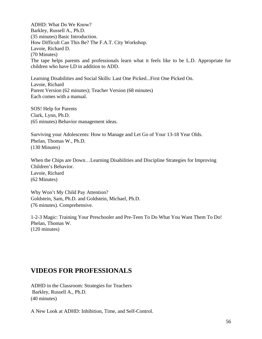ADHD: What Do We Know? Barkley, Russell A., Ph.D. (35 minutes) Basic Introduction. How Difficult Can This Be? The F.A.T. City Workshop. Lavoie, Richard D. (70 Minutes) The tape helps parents and professionals learn what it feels like to be L.D. Appropriate for children who have LD in addition to ADD.

Learning Disabilities and Social Skills: Last One Picked...First One Picked On. Lavoie, Richard Parent Version (62 minutes); Teacher Version (68 minutes) Each comes with a manual.

SOS! Help for Parents Clark, Lynn, Ph.D. (65 minutes) Behavior management ideas.

Surviving your Adolescents: How to Manage and Let Go of Your 13-18 Year Olds. Phelan, Thomas W., Ph.D. (130 Minutes)

When the Chips are Down…Learning Disabilities and Discipline Strategies for Improving Children's Behavior. Lavoie, Richard (62 Minutes)

Why Won't My Child Pay Attention? Goldstein, Sam, Ph.D. and Goldstein, Michael, Ph.D. (76 minutes). Comprehensive.

1-2-3 Magic: Training Your Preschooler and Pre-Teen To Do What You Want Them To Do! Phelan, Thomas W. (120 minutes)

## **VIDEOS FOR PROFESSIONALS**

ADHD in the Classroom: Strategies for Teachers Barkley, Russell A., Ph.D. (40 minutes)

A New Look at ADHD: Inhibition, Time, and Self-Control.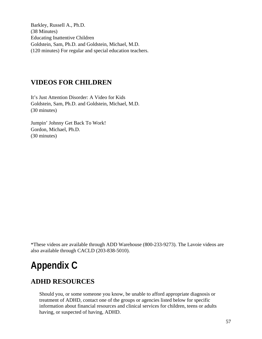Barkley, Russell A., Ph.D. (38 Minutes) Educating Inattentive Children Goldstein, Sam, Ph.D. and Goldstein, Michael, M.D. (120 minutes) For regular and special education teachers.

## **VIDEOS FOR CHILDREN**

It's Just Attention Disorder: A Video for Kids Goldstein, Sam, Ph.D. and Goldstein, Michael, M.D. (30 minutes)

Jumpin' Johnny Get Back To Work! Gordon, Michael, Ph.D. (30 minutes)

\*These videos are available through ADD Warehouse (800-233-9273). The Lavoie videos are also available through CACLD (203-838-5010).

# **Appendix C**

## **ADHD RESOURCES**

Should you, or some someone you know, be unable to afford appropriate diagnosis or treatment of ADHD, contact one of the groups or agencies listed below for specific information about financial resources and clinical services for children, teens or adults having, or suspected of having, ADHD.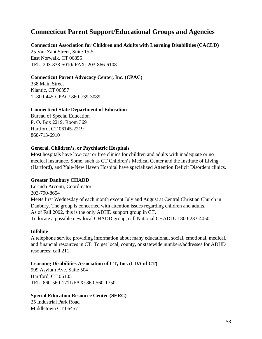## **Connecticut Parent Support/Educational Groups and Agencies**

#### **Connecticut Association for Children and Adults with Learning Disabilities (CACLD)**

25 Van Zant Street, Suite 15-5 East Norwalk, CT 06855 TEL: 203-838-5010/ FAX: 203-866-6108

#### **Connecticut Parent Advocacy Center, Inc. (CPAC)**

338 Main Street Niantic, CT 06357 1 -800-445-CPAC/ 860-739-3089

#### **Connecticut State Department of Education**

Bureau of Special Education P. O. Box 2219, Room 369 Hartford, CT 06145-2219 860-713-6910

#### **General, Children's, or Psychiatric Hospitals**

Most hospitals have low-cost or free clinics for children and adults with inadequate or no medical insurance. Some, such as CT Children's Medical Center and the Institute of Living (Hartford), and Yale-New Haven Hospital have specialized Attention Deficit Disorders clinics.

#### **Greater Danbury CHADD**

Lorinda Arconti, Coordinator 203-790-8654 Meets first Wednesday of each month except July and August at Central Christian Church in Danbury. The group is concerned with attention issues regarding children and adults. As of Fall 2002, this is the only ADHD support group in CT. To locate a possible new local CHADD group, call National CHADD at 800-233-4050.

#### **Infoline**

A telephone service providing information about many educational, social, emotional, medical, and financial resources in CT. To get local, county, or statewide numbers/addresses for ADHD resources: call 211.

#### **Learning Disabilities Association of CT, Inc. (LDA of CT)**

999 Asylum Ave. Suite 504 Hartford, CT 06105 TEL: 860-560-1711/FAX: 860-560-1750

#### **Special Education Resource Center (SERC)**

25 Industrial Park Road Middletown CT 06457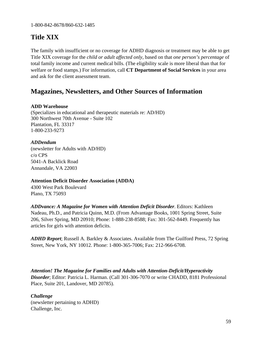1-800-842-8678/860-632-1485

## **Title XIX**

The family with insufficient or no coverage for ADHD diagnosis or treatment may be able to get Title XIX coverage for the *child or adult affected only*, based on that *one person's percentage* of total family income and current medical bills. (The eligibility scale is more liberal than that for welfare or food stamps.) For information, call **CT Department of Social Services** in your area and ask for the client assessment team.

## **Magazines, Newsletters, and Other Sources of Information**

#### **ADD Warehouse**

(Specializes in educational and therapeutic materials re: AD/HD) 300 Northwest 70th Avenue - Suite 102 Plantation, FL 33317 1-800-233-9273

#### *ADDendum*

(newsletter for Adults with AD/HD) c/o CPS 5041-A Backlick Road Annandale, VA 22003

#### **Attention Deficit Disorder Association (ADDA)**

4300 West Park Boulevard Plano, TX 75093

*ADDvance: A Magazine for Women with Attention Deficit Disorder*. Editors: Kathleen Nadeau, Ph.D., and Patricia Quinn, M.D. (From Advantage Books, 1001 Spring Street, Suite 206, Silver Spring, MD 20910; Phone: 1-888-238-8588; Fax: 301-562-8449. Frequently has articles for girls with attention deficits.

*ADHD Report*; Russell A. Barkley & Associates. Available from The Guilford Press, 72 Spring Street, New York, NY 10012. Phone: 1-800-365-7006; Fax: 212-966-6708.

*Attention! The Magazine for Families and Adults with Attention-Deficit/Hyperactivity Disorder*; Editor: Patricia L. Harman. (Call 301-306-7070 or write CHADD, 8181 Professional Place, Suite 201, Landover, MD 20785).

*Challenge*  (newsletter pertaining to ADHD) Challenge, Inc.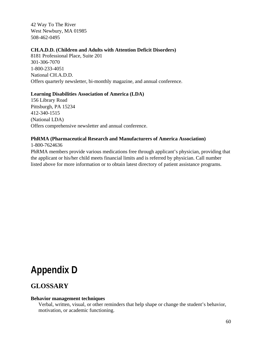42 Way To The River West Newbury, MA 01985 508-462-0495

#### **CH.A.D.D. (Children and Adults with Attention Deficit Disorders)**

8181 Professional Place, Suite 201 301-306-7070 1-800-233-4051 National CH.A.D.D. Offers quarterly newsletter, bi-monthly magazine, and annual conference.

#### **Learning Disabilities Association of America (LDA)**

156 Library Road Pittsburgh, PA 15234 412-340-1515 (National LDA) Offers comprehensive newsletter and annual conference.

#### **PhRMA (Pharmaceutical Research and Manufacturers of America Association)**

1-800-7624636

PhRMA members provide various medications free through applicant's physician, providing that the applicant or his/her child meets financial limits and is referred by physician. Call number listed above for more information or to obtain latest directory of patient assistance programs.

## **Appendix D**

## **GLOSSARY**

#### **Behavior management techniques**

 Verbal, written, visual, or other reminders that help shape or change the student's behavior, motivation, or academic functioning.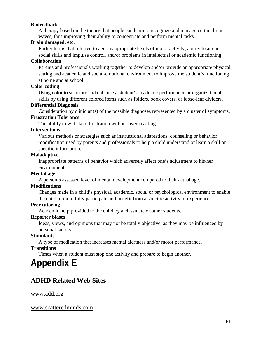#### **Biofeedback**

 A therapy based on the theory that people can learn to recognize and manage certain brain waves, thus improving their ability to concentrate and perform mental tasks.

#### **Brain damaged, etc.**

Earlier terms that referred to age- inappropriate levels of motor activity, ability to attend,

social skills and impulse control, and/or problems in intellectual or academic functioning.

#### **Collaboration**

 Parents and professionals working together to develop and/or provide an appropriate physical setting and academic and social-emotional environment to improve the student's functioning at home and at school.

#### **Color coding**

 Using color to structure and enhance a student's academic performance or organizational skills by using different colored items such as folders, book covers, or loose-leaf dividers.

#### **Differential Diagnosis**

Consideration by clinician(s) of the possible diagnoses represented by a cluster of symptoms.

#### **Frustration Tolerance**

The ability to withstand frustration without over-reacting.

#### **Interventions**

 Various methods or strategies such as instructional adaptations, counseling or behavior modification used by parents and professionals to help a child understand or learn a skill or specific information.

#### **Maladaptive**

 Inappropriate patterns of behavior which adversely affect one's adjustment to his/her environment.

#### **Mental age**

A person's assessed level of mental development compared to their actual age.

#### **Modifications**

 Changes made in a child's physical, academic, social or psychological environment to enable the child to more fully participate and benefit from a specific activity or experience.

#### **Peer tutoring**

Academic help provided to the child by a classmate or other students.

#### **Reporter biases**

 Ideas, views, and opinions that may not be totally objective, as they may be influenced by personal factors.

#### **Stimulants**

A type of medication that increases mental alertness and/or motor performance.

#### **Transitions**

Times when a student must stop one activity and prepare to begin another.

## **Appendix E**

## **ADHD Related Web Sites**

www.add.org

www.scatteredminds.com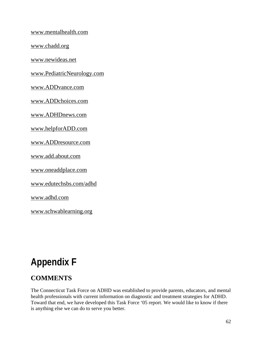www.mentalhealth.com

www.chadd.org

www.newideas.net

www.PediatricNeurology.com

www.ADDvance.com

www.ADDchoices.com

www.ADHDnews.com

www.helpforADD.com

www.ADDresource.com

www.add.about.com

www.oneaddplace.com

www.edutechsbs.com/adhd

www.adhd.com

www.schwablearning.org

## **Appendix F**

## **COMMENTS**

The Connecticut Task Force on ADHD was established to provide parents, educators, and mental health professionals with current information on diagnostic and treatment strategies for ADHD. Toward that end, we have developed this Task Force '05 report. We would like to know if there is anything else we can do to serve you better.